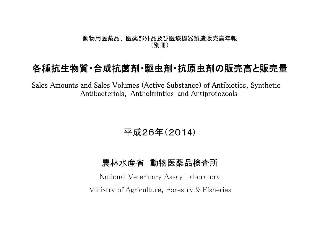## 動物用医薬品、 医薬部外品及び医療機器製造販売高年報 (別冊)

## 各種抗生物質・合成抗菌剤・駆虫剤・抗原虫剤の販売高と販売量

Sales Amounts and Sales Volumes (Active Substance) of Antibiotics, Synthetic Antibacterials, Anthelmintics and Antiprotozoals

平成26年(2014)

## 農林水産省 動物医薬品検査所

National Veterinary Assay Laboratory Ministry of Agriculture, Forestry & Fisheries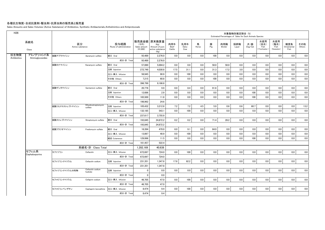## 各種抗生物質・合成抗菌剤・駆虫剤・抗原虫剤の販売高と販売量

Sales Amounts and Sales Volumes (Active Substance) of Antibiotics, Synthetic Antibacterials, Anthelmintics and Antiprotozoals

| H <sub>26</sub>                  |                        |                                |                                 |                                    |                                                                   |                       |                     |            |          | Estimated Percentages of Sales for Each Animals Species | 対象動物別推定割合 (%) |                |                                   |                                   |                           |               |
|----------------------------------|------------------------|--------------------------------|---------------------------------|------------------------------------|-------------------------------------------------------------------|-----------------------|---------------------|------------|----------|---------------------------------------------------------|---------------|----------------|-----------------------------------|-----------------------------------|---------------------------|---------------|
| 系統名<br>Class                     | 区分<br>Active substance |                                | 投与経路<br>Route of administration | (千円)<br>Sales amount<br>$(*1,000)$ | 販売高金額 原末換算量<br>(Kg)<br>Amount of pure<br>active substance<br>(Kg) | 肉用牛<br>Beef<br>Cattle | 乳用牛<br>Dairy<br>Cow | 馬<br>Horse | 豚<br>Pig | 肉用鶏<br><b>Broiler</b>                                   | 採卵鶏<br>Layer  | 犬・猫<br>Dog/Cat | 水産用<br>(淡水)<br>Fish<br>Freshwater | 水産用<br>(海水)<br>Fish<br>(Seawater) | 観賞魚<br>Ornamental<br>Fish | その他<br>Others |
| 抗生物質<br>アミノグリコシド系<br>Antibiotics | 硫酸アプラマイシン              | Apramycin sulfate              | 経口 Oral                         | 93.489                             | 2.276.0                                                           | 0.0                   | 0.0                 | 0.0        | 100      | 0.0                                                     | 0.0           | 0.0            | 0.0                               | 0.0                               | 0.0                       | 0.0           |
| Aminoglycosides                  |                        |                                | 成分·計 Total                      | 93.489                             | 2.276.0                                                           |                       |                     |            |          |                                                         |               |                |                                   |                                   |                           |               |
|                                  | 硫酸カナマイシン               | Kanamycin sulfate              | 経口 Oral                         | 57,890                             | 5,004.2                                                           | 0.0                   | 0.0                 | 0.0        | 50.0     | 50.0                                                    | 0.0           | 0.0            | 0.0                               | 0.0                               | 0.0                       | 0.0           |
|                                  |                        |                                | 注射 Injection                    | 272.749                            | 4.030.8                                                           | 17.5                  | 31.1                | 0.0        | 31.3     | 17.2                                                    | 3.0           | 0.0            | 0.0                               | 0.0                               | 0.0                       | 0.0           |
|                                  |                        |                                | 注入·挿入 Infusion                  | 58,945                             | 90.9                                                              | 0.0                   | 100                 | 0.0        | 0.0      | 0.0                                                     | 0.0           | 0.0            | 0.0                               | 0.0                               | 0.0                       | 0.0           |
|                                  |                        |                                | その他 Others                      | 7.215                              | 60.8                                                              | 0.0                   | 0.0                 | 0.0        | 100      | 0.0                                                     | 0.0           | 0.0            | 0.0                               | 0.0                               | 0.0                       | 0.0           |
|                                  |                        |                                | 成分·計 Total                      | 396.799                            | 9.186.8                                                           |                       |                     |            |          |                                                         |               |                |                                   |                                   |                           |               |
|                                  | 硫酸ゲンタマイシン              | Gentamicin sulfate             | 経口 Oral                         | 20,776                             | 9.9                                                               | 0.0                   | 8.4                 | 0.0        | 91.6     | 0.0                                                     | 0.0           | 0.0            | 0.0                               | 0.0                               | 0.0                       | 0.0           |
|                                  |                        |                                | 注射 Injection                    | 12,686                             | 2.9                                                               | 0.0                   | 0.0                 | 0.0        | 0.0      | 0.0                                                     | 0.0           | 100            | 0.0                               | 0.0                               | 0.0                       | 0.0           |
|                                  |                        |                                | その他 Others                      | 165.500                            | 11.8                                                              | 0.0                   | 0.0                 | 0.0        | 0.0      | 0.0                                                     | 0.0           | 100            | 0.0                               | 0.0                               | 0.0                       | 0.0           |
|                                  |                        |                                | 成分·計 Total                      | 198.962                            | 24.6                                                              |                       |                     |            |          |                                                         |               |                |                                   |                                   |                           |               |
|                                  | 硫酸ジヒドロストレプトマイシン        | Dihydrostreptomycin<br>sulfate | 注射 Injection                    | 105,432                            | 3,212.8                                                           | 7.2                   | 7.2                 | 4.5        | 5.9      | 0.6                                                     | 0.6           | 60.7           | 0.0                               | 0.0                               | 0.0                       | 13.2          |
|                                  |                        |                                | 注入·挿入 Infusion                  | 132.185                            | 543.1                                                             | 0.0                   | 100                 | 0.0        | 0.0      | 0.0                                                     | 0.0           | 0.0            | 0.0                               | 0.0                               | 0.0                       | 0.0           |
|                                  |                        |                                | 成分·計 Total                      | 237,617                            | 3.755.9                                                           |                       |                     |            |          |                                                         |               |                |                                   |                                   |                           |               |
|                                  | 硫酸ストレプトマイシン            | Streptomycin sulfate           | 経口 Oral                         | 193,845                            | 24,872.2                                                          | 0.2                   | 0.2                 | 0.0        | 71.4     | 28.2                                                    | 0.0           | 0.0            | 0.0                               | 0.0                               | 0.0                       | 0.0           |
|                                  |                        |                                | 成分·計 Total                      | 193,845                            | 24,872.2                                                          |                       |                     |            |          |                                                         |               |                |                                   |                                   |                           |               |
|                                  | 硫酸フラジオマイシン             | Fradiomycin sulfate            | 経口 Oral                         | 18,394                             | 470.0                                                             | 6.0                   | 9.1                 | 0.0        | 84.9     | 0.0                                                     | 0.0           | 0.0            | 0.0                               | 0.0                               | 0.0                       | 0.0           |
|                                  |                        |                                | 注入·挿入 Infusion                  | 13,067                             | 40.9                                                              | 0.0                   | 100                 | 0.0        | 0.0      | 0.0                                                     | 0.0           | 0.0            | 0.0                               | 0.0                               | 0.0                       | 0.0           |
|                                  |                        |                                | 経皮 Cutaneous                    | 129,996                            | 11.5                                                              | 0.0                   | 0.0                 | 0.0        | 0.0      | 0.0                                                     | 0.0           | 100            | 0.0                               | 0.0                               | 0.0                       | 0.0           |
|                                  |                        |                                | 成分·計 Total                      | 161,457                            | 522.4                                                             |                       |                     |            |          |                                                         |               |                |                                   |                                   |                           |               |
|                                  |                        | 系統名·計 Class Total              |                                 | 1.282.169                          | 40.638                                                            |                       |                     |            |          |                                                         |               |                |                                   |                                   |                           |               |
| セフェム系<br>Cephalosporins          | セファゾリン                 | Cefazolin                      | 注入·挿入 Infusion                  | 672.697                            | 724.0                                                             | 0.0                   | 100                 | 0.0        | 0.0      | 0.0                                                     | 0.0           | 0.0            | 0.0                               | 0.0                               | 0.0                       | 0.0           |
|                                  |                        |                                | 成分·計 Total                      | 672,697                            | 724.0                                                             |                       |                     |            |          |                                                         |               |                |                                   |                                   |                           |               |
|                                  | セファゾリンナトリウム            | Cefazolin sodium               | 注射 Injection                    | 231,351                            | 1,347.8                                                           | 17.8                  | 82.2                | 0.0        | 0.0      | 0.0                                                     | 0.0           | 0.0            | 0.0                               | 0.0                               | 0.0                       | 0.0           |
|                                  |                        |                                | 成分·計 Total                      | 231,351                            | 1,347.8                                                           |                       |                     |            |          |                                                         |               |                |                                   |                                   |                           |               |
|                                  | セファゾリンナトリウム水和物         | Cefazolin sodium<br>hvdrate    | 注射 Injection                    | $\mathbf{0}$                       | 0.0                                                               | 0.0                   | 0.0                 | 0.0        | 0.0      | 0.0                                                     | 0.0           | 0.0            | 0.0                               | 0.0                               | 0.0                       | 0.0           |
|                                  |                        |                                | 成分·計 Total                      | $\Omega$                           | 0.0                                                               |                       |                     |            |          |                                                         |               |                |                                   |                                   |                           |               |
|                                  | セファピリンナトリウム            | Cefapirin sodium               | 注入·挿入 Infusion                  | 46,705                             | 47.0                                                              | 0.0                   | 100                 | 0.0        | 0.0      | 0.0                                                     | 0.0           | 0.0            | 0.0                               | 0.0                               | 0.0                       | 0.0           |
|                                  |                        |                                | 成分·計 Total                      | 46,705                             | 47.0                                                              |                       |                     |            |          |                                                         |               |                |                                   |                                   |                           |               |
|                                  | セファピリンベンザチン            | Cephapirin benzathine          | 注入·挿入 Infusion                  | 8,474                              | 9.4                                                               | 0.0                   | 100                 | 0.0        | 0.0      | 0.0                                                     | 0.0           | 0.0            | 0.0                               | 0.0                               | 0.0                       | 0.0           |
|                                  |                        |                                | 成分·計 Total                      | 8,474                              | 9.4                                                               |                       |                     |            |          |                                                         |               |                |                                   |                                   |                           |               |
|                                  |                        |                                |                                 |                                    |                                                                   |                       |                     |            |          |                                                         |               |                |                                   |                                   |                           |               |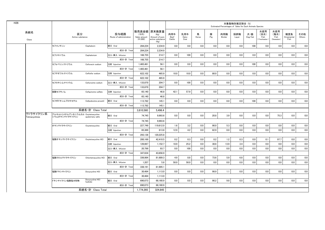|                            |                                                     |                            |                                 |                                    |                                                                   |                       |                     |            |          | Estimated Percentages of Sales for Each Animals Species | 対象動物別推定割合 (%) |                |                                     |                                   |                           |               |
|----------------------------|-----------------------------------------------------|----------------------------|---------------------------------|------------------------------------|-------------------------------------------------------------------|-----------------------|---------------------|------------|----------|---------------------------------------------------------|---------------|----------------|-------------------------------------|-----------------------------------|---------------------------|---------------|
| 系統名<br>Class               | 区分<br>Active substance                              |                            | 投与経路<br>Route of administration | (千円)<br>Sales amount<br>$(*1,000)$ | 販売高金額 原末換算量<br>(Kg)<br>Amount of pure<br>active substance<br>(Kg) | 肉用牛<br>Beef<br>Cattle | 乳用牛<br>Dairy<br>Cow | 馬<br>Horse | 豚<br>Pig | 肉用鶏<br>Broiler                                          | 採卵鶏<br>Layer  | 犬・猫<br>Dog/Cat | 水産用<br>(淡水)<br>Fish<br>(Freshwater) | 水産用<br>(海水)<br>Fish<br>(Seawater) | 観賞魚<br>Ornamental<br>Fish | その他<br>Others |
|                            | セファレキシン                                             | Cephalexin                 | 経口 Oral                         | 284,224                            | 2,234.9                                                           | 0.0                   | 0.0                 | 0.0        | 0.0      | 0.0                                                     | 0.0           | 100            | 0.0                                 | 0.0                               | 0.0                       | 0.0           |
|                            |                                                     |                            | 成分·計 Total                      | 284,224                            | 2,234.9                                                           |                       |                     |            |          |                                                         |               |                |                                     |                                   |                           |               |
|                            | セファロニウム                                             | Cephalonium                | 注入·挿入 Infusion                  | 166.755                            | 214.7                                                             | 0.0                   | 100                 | 0.0        | 0.0      | 0.0                                                     | 0.0           | 0.0            | 0.0                                 | 0.0                               | 0.0                       | 0.0           |
|                            |                                                     |                            | 成分·計 Total                      | 166.755                            | 214.7                                                             |                       |                     |            |          |                                                         |               |                |                                     |                                   |                           |               |
|                            | セフォベシンナトリウム                                         | Cefovecin sodium           | 注射 Injection                    | 1,465,461                          | 56.1                                                              | 0.0                   | 0.0                 | 0.0        | 0.0      | 0.0                                                     | 0.0           | 100            | 0.0                                 | 0.0                               | 0.0                       | 0.0           |
|                            |                                                     |                            | 成分·計 Total                      | 1,465,461                          | 56.1                                                              |                       |                     |            |          |                                                         |               |                |                                     |                                   |                           |               |
|                            | セフチオフルナトリウム                                         | Ceftiofur sodium           | 注射 Injection                    | 622,102                            | 465.9                                                             | 10.0                  | 10.0                | 0.0        | 80.0     | 0.0                                                     | $0.0\,$       | 0.0            | $0.0\,$                             | 0.0                               | 0.0                       | 0.0           |
|                            |                                                     |                            | 成分·計 Total                      | 622,102                            | 465.9                                                             |                       |                     |            |          |                                                         |               |                |                                     |                                   |                           |               |
|                            | セフロキシムナトリウム                                         | Cefuroxime sodium          | 注入·挿入 Infusion                  | 133,870                            | 204.7                                                             | 0.0                   | 100                 | 0.0        | 0.0      | 0.0                                                     | 0.0           | 0.0            | 0.0                                 | 0.0                               | 0.0                       | 0.0           |
|                            |                                                     |                            | 成分·計 Total                      | 133,870                            | 204.7                                                             |                       |                     |            |          |                                                         |               |                |                                     |                                   |                           |               |
|                            | 硫酸セフキノム                                             | Cefauinome sulfate         | 注射 Injection                    | 65.140                             | 46.8                                                              | 42.1                  | 57.9                | 0.0        | 0.0      | 0.0                                                     | 0.0           | 0.0            | 0.0                                 | 0.0                               | 0.0                       | 0.0           |
|                            |                                                     |                            | 成分·計 Total                      | 65.140                             | 46.8                                                              |                       |                     |            |          |                                                         |               |                |                                     |                                   |                           |               |
|                            | セフポドキシムプロキセチル                                       | Cefpodoxime proxetil       | 経口 Oral                         | 113.782                            | 145.1                                                             | 0.0                   | 0.0                 | 0.0        | 0.0      | 0.0                                                     | 0.0           | 100            | 0.0                                 | 0.0                               | 0.0                       | 0.0           |
|                            |                                                     |                            | 成分·計 Total                      | 113,782                            | 145.1                                                             |                       |                     |            |          |                                                         |               |                |                                     |                                   |                           |               |
|                            |                                                     | 系統名·計 Class Total          |                                 | 3.810.560                          | 5.496.4                                                           |                       |                     |            |          |                                                         |               |                |                                     |                                   |                           |               |
| テトラサイクリン系<br>Tetracyclines | アルキルトリメチルアンモニウムカル Oxytetracycline<br>シウムオキシテトラサイクリン | quaternary salts           | 経口 Oral                         | 74,745                             | 9,993.6                                                           | 0.0                   | 0.0                 | 0.0        | 20.8     | 3.9                                                     | 0.0           | 0.0            | 0.0                                 | 75.3                              | 0.0                       | 0.0           |
|                            |                                                     |                            | 成分·計 Total                      | 74,745                             | 9.993.6                                                           |                       |                     |            |          |                                                         |               |                |                                     |                                   |                           |               |
|                            | オキシテトラサイクリン                                         | Oxytetracycline            | 経口 Oral                         | 227.749                            | 119.612.0                                                         | 1.6                   | 3.2                 | 0.0        | 90.0     | 5.3                                                     | 0.0           | 0.0            | 0.0                                 | 0.0                               | 0.0                       | 0.0           |
|                            |                                                     |                            | 注射 Injection                    | 65.389                             | 613.8                                                             | 12.9                  | 4.2                 | 0.0        | 82.9     | 0.0                                                     | 0.0           | 0.0            | 0.0                                 | 0.0                               | 0.0                       | 0.0           |
|                            |                                                     |                            | 成分·計 Total                      | 293.138                            | 120.225.8                                                         |                       |                     |            |          |                                                         |               |                |                                     |                                   |                           |               |
|                            | 塩酸オキシテトラサイクリン                                       | Oxytetracycline HCI        | 経口 Oral                         | 200,169                            | 42,410.5                                                          | 0.2                   | 0.3                 | 0.0        | 0.2      | 1.2                                                     | 0.3           | 0.0            | 0.1                                 | 97.7                              | 0.0                       | 0.0           |
|                            |                                                     |                            | 注射 Injection                    | 126,667                            | 1,152.7                                                           | 18.9                  | 25.2                | 0.0        | 38.6     | 13.9                                                    | 3.4           | 0.0            | 0.0                                 | 0.0                               | 0.0                       | 0.0           |
|                            |                                                     |                            | 注入·挿入 Infusion                  | 20,799                             | 93.7                                                              | 0.0                   | 100                 | 0.0        | 0.0      | 0.0                                                     | 0.0           | 0.0            | 0.0                                 | 0.0                               | 0.0                       | 0.0           |
|                            |                                                     |                            | 成分·計 Total                      | 347,634                            | 43,656.9                                                          |                       |                     |            |          |                                                         |               |                |                                     |                                   |                           |               |
|                            | 塩酸クロルテトラサイクリン                                       | Chlortetracycline HCI      | 経口 Oral                         | 336.984                            | 81.689.3                                                          | 4.9                   | 8.8                 | 0.0        | 73.6     | 5.9                                                     | 6.8           | 0.0            | 0.0                                 | 0.0                               | 0.0                       | 0.0           |
|                            |                                                     |                            | 注入·挿入 Infusion                  | 1.207                              | 5.8                                                               | 50.0                  | 50.0                | 0.0        | 0.0      | 0.0                                                     | 0.0           | 0.0            | 0.0                                 | 0.0                               | 0.0                       | 0.0           |
|                            |                                                     |                            | 成分·計 Total                      | 338,191                            | 81,695.1                                                          |                       |                     |            |          |                                                         |               |                |                                     |                                   |                           |               |
|                            | 塩酸ドキシサイクリン                                          | Doxycycline HCI            | 経口 Oral                         | 30,484                             | 1.113.0                                                           | 0.0                   | 0.0                 | 0.0        | 98.9     | 1.1                                                     | 0.0           | 0.0            | 0.0                                 | 0.0                               | 0.0                       | 0.0           |
|                            |                                                     |                            | 成分·計 Total                      | 30,484                             | 1,113.0                                                           |                       |                     |            |          |                                                         |               |                |                                     |                                   |                           |               |
|                            | ドキシサイクリン塩酸塩水和物                                      | Doxycycline HCI<br>hydrate | 経口 Oral                         | 690,073                            | 68,160.9                                                          | 0.0                   | 0.0                 | 0.0        | 90.2     | 9.8                                                     | 0.0           | 0.0            | 0.0                                 | 0.0                               | 0.0                       | 0.0           |
|                            |                                                     |                            | 成分·計 Total                      | 690,073                            | 68,160.9                                                          |                       |                     |            |          |                                                         |               |                |                                     |                                   |                           |               |
|                            |                                                     | 系統名・計 Class Total          |                                 | 1,774,265                          | 324,845                                                           |                       |                     |            |          |                                                         |               |                |                                     |                                   |                           |               |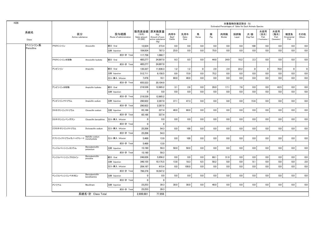| H <sub>26</sub> |              |                        |                                 |                                 |                                  |                                                                   |                       |                     |             |          | Estimated Percentages of Sales for Each Animals Species | 対象動物別推定割合 (%) |                                    |                                   |                                   |                           |               |
|-----------------|--------------|------------------------|---------------------------------|---------------------------------|----------------------------------|-------------------------------------------------------------------|-----------------------|---------------------|-------------|----------|---------------------------------------------------------|---------------|------------------------------------|-----------------------------------|-----------------------------------|---------------------------|---------------|
|                 | 系統名<br>Class | 区分<br>Active substance |                                 | 投与経路<br>Route of administration | (千円)<br>Sales amount<br>(41,000) | 販売高金額 原末換算量<br>(Kg)<br>Amount of pure<br>active substance<br>(Kg) | 肉用牛<br>Beef<br>Cattle | 乳用牛<br>Dairy<br>Cow | 馬<br>Horse  | 豚<br>Pig | 肉用鶏<br>Broiler                                          | 採卵鶏<br>Layer  | 犬・猫<br>$\mathsf{Dog}/\mathsf{Cat}$ | 水産用<br>(淡水)<br>Fish<br>Freshwater | 水産用<br>(海水)<br>Fish<br>(Seawater) | 観賞魚<br>Ornamental<br>Fish | その他<br>Others |
|                 | ペニシリン系       | アモキシシリン                | Amoxicillin                     | 経口 Oral                         | 12,824                           | 273.4                                                             | 0.0                   | 0.0                 | 0.0         | 0.0      | 0.0                                                     | 0.0           | 100                                | 0.0                               | 0.0                               | 0.0                       | 0.0           |
|                 | Penicillins  |                        |                                 | 注射 Injection                    | 104.934                          | 787.3                                                             | 25.0                  | 0.0                 | 0.0         | 75.0     | 0.0                                                     | 0.0           | 0.0                                | 0.0                               | 0.0                               | 0.0                       | 0.0           |
|                 |              |                        |                                 | 成分·計 Total                      | 117,758                          | 1.060.7                                                           |                       |                     |             |          |                                                         |               |                                    |                                   |                                   |                           |               |
|                 |              | アモキシシリン水和物             | Amoxicillin hydrate             | 経口 Oral                         | 485.277                          | 24.897.0                                                          | 9.3                   | 8.5                 | 0.0         | 44.8     | 24.9                                                    | 10.2          | 2.3                                | 0.0                               | 0.0                               | 0.0                       | 0.0           |
|                 |              |                        |                                 | 成分·計 Total                      | 485,277                          | 24,897.0                                                          |                       |                     |             |          |                                                         |               |                                    |                                   |                                   |                           |               |
|                 |              | アンピシリン                 | Ampicillin                      | 経口 Oral                         | 135,337                          | 11.936.3                                                          | 1.2                   | 1.2                 | $\mathbf 0$ | 2.9      | 2.4                                                     | 22.2          | $\mathbf{0}$                       | $\mathbf 0$                       | 70.0                              | $\mathbf{0}$              | $\mathbf{0}$  |
|                 |              |                        |                                 | 注射 Injection                    | 512,711                          | 8,158.5                                                           | 8.9                   | 15.9                | 0.0         | 75.2     | 0.0                                                     | 0.0           | 0.0                                | 0.0                               | 0.0                               | 0.0                       | 0.0           |
|                 |              |                        |                                 | 注入·挿入 Infusion                  | 7,476                            | 10.1                                                              | 60.0                  | 40.0                | 0.0         | 0.0      | 0.0                                                     | 0.0           | 0.0                                | 0.0                               | 0.0                               | 0.0                       | 0.0           |
|                 |              |                        |                                 | 成分·計 Total                      | 655.523                          | 20.104.9                                                          |                       |                     |             |          |                                                         |               |                                    |                                   |                                   |                           |               |
|                 |              | アンピシリン水和物              | Ampicillin hydrate              | 経口 Oral                         | 219,539                          | 12,665.2                                                          | 3.1                   | 2.6                 | 0.0         | 26.0     | 17.1                                                    | 7.6           | 0.0                                | 0.0                               | 43.5                              | 0.0                       | 0.0           |
|                 |              |                        |                                 | 注射 Injection                    | $\mathbf{0}$                     | 0.0                                                               | 0.0                   | 0.0                 | 0.0         | 0.0      | 0.0                                                     | 0.0           | 0.0                                | 0.0                               | 0.0                               | 0.0                       | 0.0           |
|                 |              |                        |                                 | 成分·計 Total                      | 219,539                          | 12,665.2                                                          |                       |                     |             |          |                                                         |               |                                    |                                   |                                   |                           |               |
|                 |              | アンピシリンナトリウム            | Ampicillin sodium               | 注射 Injection                    | 290.922                          | 2.287.0                                                           | 37.1                  | 47.3                | 0.0         | 0.0      | 0.0                                                     | 0.0           | 15.6                               | 0.0                               | 0.0                               | 0.0                       | 0.0           |
|                 |              |                        |                                 | 成分·計 Total                      | 290,922                          | 2,287.0                                                           |                       |                     |             |          |                                                         |               |                                    |                                   |                                   |                           |               |
|                 |              | クロキサシリンナトリウム           | Cloxacillin sodium              | 注射 Injection                    | 65,166                           | 227.4                                                             | 40.0                  | 60.0                | 0.0         | 0.0      | 0.0                                                     | 0.0           | 0.0                                | 0.0                               | 0.0                               | 0.0                       | 0.0           |
|                 |              |                        |                                 | 成分·計 Total                      | 65,166                           | 227.4                                                             |                       |                     |             |          |                                                         |               |                                    |                                   |                                   |                           |               |
|                 |              | クロキサシリンベンザチン           | Cloxacillin benzathine          | 注入·挿入 Infusion                  | $\mathbf{0}$                     | 0.0                                                               | 0.0                   | 0.0                 | 0.0         | 0.0      | 0.0                                                     | 0.0           | 0.0                                | 0.0                               | 0.0                               | 0.0                       | 0.0           |
|                 |              |                        |                                 | 成分·計 Total                      | $\overline{\mathbf{0}}$          | - 0                                                               |                       |                     |             |          |                                                         |               |                                    |                                   |                                   |                           |               |
|                 |              | ジクロキサシリンナトリウム          | Dicloxacillin sodium            | 注入·挿入 Infusion                  | 25,206                           | 54.3                                                              | 0.0                   | 100                 | 0.0         | 0.0      | 0.0                                                     | 0.0           | 0.0                                | 0.0                               | 0.0                               | 0.0                       | 0.0           |
|                 |              |                        |                                 | 成分·計 Total                      | 25,206                           | 54.3                                                              |                       |                     |             |          |                                                         |               |                                    |                                   |                                   |                           |               |
|                 |              | ナフシリンナトリウムモノハイドレート     | Nafcillin sodium<br>monohydrate | 注入·挿入 Infusion                  | 5,469                            | 13.9                                                              | 0.0                   | 100                 | 0.0         | 0.0      | 0.0                                                     | 0.0           | 0.0                                | $0.0\,$                           | 0.0                               | 0.0                       | 0.0           |
|                 |              |                        |                                 | 成分·計 Total                      | 5.469                            | 13.9                                                              |                       |                     |             |          |                                                         |               |                                    |                                   |                                   |                           |               |
|                 |              | ベンジルペニシリンカリウム          | Benzylpenicillin<br>potassium   | 注射 Injection                    | 15.190                           | 59.3                                                              | 50.0                  | 50.0                | 0.0         | 0.0      | 0.0                                                     | 0.0           | 0.0                                | 0.0                               | 0.0                               | 0.0                       | 0.0           |
|                 |              |                        |                                 | 成分·計 Total                      | 15,190                           | 59.3                                                              |                       |                     |             |          |                                                         |               |                                    |                                   |                                   |                           |               |
|                 |              | ベンジルペニシリンプロカイン         | Benzylpenicillin<br>procaine    | 経口 Oral                         | 246,026                          | 5.956.2                                                           | 0.0                   | 0.0                 | 0.0         | 68.1     | 31.9                                                    | 0.0           | 0.0                                | 0.0                               | 0.0                               | 0.0                       | 0.0           |
|                 |              |                        |                                 | 注射 Injection                    | 346,155                          | 10,175.5                                                          | 13.8                  | 18.3                | 6.5         | 50.2     | 0.0                                                     | 0.0           | 9.1                                | 0.0                               | 0.0                               | 0.0                       | 2.0           |
|                 |              |                        |                                 | 注入·挿入 Infusion                  | 204.197                          | 415.4                                                             | 0.0                   | 100.0               | 0.0         | 0.0      | 0.0                                                     | 0.0           | 0.0                                | 0.0                               | 0.0                               | 0.0                       | 0.0           |
|                 |              |                        |                                 | 成分·計 Total                      | 796,378                          | 16,547.2                                                          |                       |                     |             |          |                                                         |               |                                    |                                   |                                   |                           |               |
|                 |              | ベンジルペニシリンベネタミン         | Benzylpenicillin<br>benethamine | 注射 Injection                    | $\overline{\mathbf{0}}$          | 0.0                                                               | 0.0                   | 0.0                 | 0.0         | 0.0      | 0.0                                                     | 0.0           | 0.0                                | 0.0                               | 0.0                               | 0.0                       | 0.0           |
|                 |              |                        |                                 | 成分·計 Total                      | $\overline{0}$                   | $\Omega$                                                          |                       |                     |             |          |                                                         |               |                                    |                                   |                                   |                           |               |
|                 |              | メシリナム                  | Mecillinam                      | 注射 Injection                    | 23,253                           | 39.3                                                              | 30.0                  | 30.0                | 0.0         | 40.0     | 0.0                                                     | 0.0           | 0.0                                | 0.0                               | $0.0\,$                           | 0.0                       | 0.0           |
|                 |              |                        |                                 | 成分·計 Tota                       | 23,253                           | 39.3                                                              |                       |                     |             |          |                                                         |               |                                    |                                   |                                   |                           |               |
|                 |              |                        | 系統名·計 Class Total               |                                 | 2.699.681                        | 77.956                                                            |                       |                     |             |          |                                                         |               |                                    |                                   |                                   |                           |               |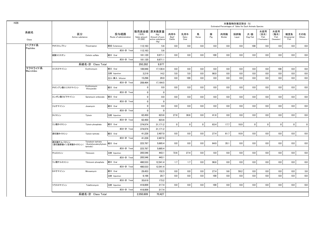| H <sub>26</sub>       |              |                        |                                                 |                                 |                                                   |                                                    |                       |                     |             |          | Estimated Percentages of Sales for Each Animals Species | 対象動物別推定割合 (%) |                                    |                                    |                                   |                           |               |
|-----------------------|--------------|------------------------|-------------------------------------------------|---------------------------------|---------------------------------------------------|----------------------------------------------------|-----------------------|---------------------|-------------|----------|---------------------------------------------------------|---------------|------------------------------------|------------------------------------|-----------------------------------|---------------------------|---------------|
| 系統名<br>Class          |              | 区分<br>Active substance |                                                 | 投与経路<br>Route of administration | 販売高金額 原末換算量<br>(千円)<br>Sales amount<br>$(*1,000)$ | (Kg)<br>Amount of pure<br>active substance<br>(Kg) | 肉用牛<br>Beef<br>Cattle | 乳用牛<br>Dairy<br>Cow | 馬<br>Horse  | 豚<br>Pig | 肉用鶏<br>Broiler                                          | 採卵鶏<br>Layer  | 犬・猫<br>$\mathsf{Dog}/\mathsf{Cat}$ | 水産用<br>(淡水)<br>Fish<br>Freshwater) | 水産用<br>(海水)<br>Fish<br>(Seawater) | 観賞魚<br>Ornamental<br>Fish | その他<br>Others |
| ペプチド系<br>Peptides     | チオストレプトン     |                        | Thiostrepton                                    | 経皮 Cutaneous                    | 112.163                                           | 5.6                                                | 0.0                   | 0.0                 | 0.0         | 0.0      | 0.0                                                     | 0.0           | 100                                | 0.0                                | 0.0                               | 0.0                       | 0.0           |
|                       |              |                        |                                                 | 成分·計 Total                      | 112,163                                           | 5.6                                                |                       |                     |             |          |                                                         |               |                                    |                                    |                                   |                           |               |
|                       | 硫酸コリスチン      |                        | Colistin sulfate                                | 経口 Oral                         | 181,120                                           | 9,971.1                                            | 0.0                   | 0.0                 | 0.0         | 100      | 0.0                                                     | 0.0           | 0.0                                | 0.0                                | 0.0                               | 0.0                       | 0.0           |
|                       |              |                        |                                                 | 成分·計 Total                      | 181,120                                           | 9,971.1                                            |                       |                     |             |          |                                                         |               |                                    |                                    |                                   |                           |               |
|                       |              |                        | 系統名·計 Class Total                               |                                 | 293,282                                           | 9,977                                              |                       |                     |             |          |                                                         |               |                                    |                                    |                                   |                           |               |
| マクロライド系<br>Macrolides | エリスロマイシン     |                        | Erythromycin                                    | 経口 Oral                         | 189.948                                           | 17,130.4                                           | 0.0                   | 0.0                 | 0.0         | 0.0      | 0.0                                                     | 0.0           | 0.0                                | 0.0                                | 100                               | 0.0                       | 0.0           |
|                       |              |                        |                                                 | 注射 Injection                    | 3,219                                             | 14.2                                               | 5.0                   | 5.0                 | 0.0         | 90.0     | 0.0                                                     | 0.0           | 0.0                                | 0.0                                | 0.0                               | 0.0                       | 0.0           |
|                       |              |                        |                                                 | 注入·挿入 Infusion                  | 15,296                                            | 20.0                                               | 0.0                   | 100                 | 0.0         | 0.0      | 0.0                                                     | 0.0           | 0.0                                | 0.0                                | 0.0                               | 0.0                       | 0.0           |
|                       |              |                        |                                                 | 成分·計 Total                      | 208,464                                           | 17,164.5                                           |                       |                     |             |          |                                                         |               |                                    |                                    |                                   |                           |               |
|                       |              | チオシアン酸エリスロマイシン         | Erythromycin<br>thiocyanate                     | 経口 Oral                         | 0                                                 | 0.0                                                | 0.0                   | 0.0                 | 0.0         | 0.0      | 0.0                                                     | 0.0           | 0.0                                | 0.0                                | 0.0                               | 0.0                       | 0.0           |
|                       |              |                        |                                                 | 成分·計 Total                      | $\mathbf 0$                                       | $\overline{\mathbf{0}}$                            |                       |                     |             |          |                                                         |               |                                    |                                    |                                   |                           |               |
|                       | エンボン酸スピラマイシン |                        | Spiramycin embonate                             | 経口 Oral                         | $\mathbf 0$                                       | 0.0                                                | 0.0                   | 0.0                 | 0.0         | 0.0      | 0.0                                                     | 0.0           | 0.0                                | 0.0                                | 0.0                               | 0.0                       | 0.0           |
|                       |              |                        |                                                 | 成分·計 Total                      | $\mathbf 0$                                       | 0                                                  |                       |                     |             |          |                                                         |               |                                    |                                    |                                   |                           |               |
|                       | ジョサマイシン      |                        | Josamycin                                       | 経口 Oral                         | $\mathbf 0$                                       | 0.0                                                | 0.0                   | 0.0                 | 0.0         | 0.0      | 0.0                                                     | 0.0           | 0.0                                | 0.0                                | 0.0                               | 0.0                       | 0.0           |
|                       |              |                        |                                                 | 成分·計 Total                      | $\mathbf 0$                                       | 0                                                  |                       |                     |             |          |                                                         |               |                                    |                                    |                                   |                           |               |
|                       | タイロシン        |                        | Tylosin                                         | 注射 Injection                    | 62,450                                            | 623.6                                              | 27.8                  | 30.6                | 0.0         | 41.6     | 0.0                                                     | 0.0           | 0.0                                | 0.0                                | 0.0                               | 0.0                       | 0.0           |
|                       |              |                        |                                                 | 成分·計 Total                      | 62,450                                            | 623.6                                              |                       |                     |             |          |                                                         |               |                                    |                                    |                                   |                           |               |
|                       | リン酸タイロシン     |                        | Tylosin phosphate                               | 経口 Oral                         | 374,974                                           | 31,171.2                                           | $\mathbf 0$           | $\mathbf 0$         | $\mathbf 0$ | 63.4     | 17.7                                                    | 18.9          | $\overline{0}$                     | $\mathbf 0$                        | $\mathbf 0$                       | $\mathbf 0$               | $\mathbf 0$   |
|                       |              |                        |                                                 | 成分·計 Total                      | 374.974                                           | 31.171.2                                           |                       |                     |             |          |                                                         |               |                                    |                                    |                                   |                           |               |
|                       | 酒石酸タイロシン     |                        | Tylosin tartrate                                | 経口 Oral                         | 41,228                                            | 2,407.0                                            | 0.0                   | 0.0                 | 0.0         | 27.4     | 61.7                                                    | 10.9          | 0.0                                | 0.0                                | 0.0                               | 0.0                       | 0.0           |
|                       |              |                        |                                                 | 成分·計 Total                      | 41,228                                            | 2,407.0                                            |                       |                     |             |          |                                                         |               |                                    |                                    |                                   |                           |               |
|                       | 酒石酸チルバロシン    | (酒石酸酢酸イソ吉草酸タイロシン)      | Tylvalosin tartrate<br>(Acetylisovaleryltylosin | 経口 Oral                         | 223.787                                           | 5.685.4                                            | 0.0                   | 0.0                 | 0.0         | 64.9     | 35.1                                                    | 0.0           | 0.0                                | 0.0                                | 0.0                               | 0.0                       | 0.0           |
|                       |              |                        | tartrate)                                       | 成分·計 Total                      | 223,787                                           | 5,685.4                                            |                       |                     |             |          |                                                         |               |                                    |                                    |                                   |                           |               |
|                       | チルミコシン       |                        | Tilmicosin                                      | 注射 Injection                    | 205,546                                           | 443.1                                              | 72.6                  | 27.4                | 0.0         | 0.0      | 0.0                                                     | 0.0           | 0.0                                | 0.0                                | 0.0                               | 0.0                       | 0.0           |
|                       |              |                        |                                                 | 成分·計 Total                      | 205.546                                           | 443.1                                              |                       |                     |             |          |                                                         |               |                                    |                                    |                                   |                           |               |
|                       | リン酸チルミコシン    |                        | Tilmicosin phosphate                            | 経口 Oral                         | 480,533                                           | 12,541.4                                           | 1.7                   | 1.7                 | 0.0         | 96.6     | 0.0                                                     | 0.0           | 0.0                                | 0.0                                | 0.0                               | 0.0                       | 0.0           |
|                       |              |                        |                                                 | 成分·計 Total                      | 480,533                                           | 12,541.4                                           |                       |                     |             |          |                                                         |               |                                    |                                    |                                   |                           |               |
|                       | ミロサマイシン      |                        | Mirosamycin                                     | 経口 Oral                         | 29,453                                            | 152.5                                              | 0.0                   | 0.0                 | 0.0         | 27.4     | 9.6                                                     | 59.2          | 0.0                                | 0.0                                | 0.0                               | 0.0                       | 3.8           |
|                       |              |                        |                                                 | 注射 Injection                    | 6,166                                             | 20.7                                               | 0.0                   | 0.0                 | 0.0         | 100      | 0.0                                                     | 0.0           | 0.0                                | 0.0                                | 0.0                               | 0.0                       | 0.0           |
|                       |              |                        |                                                 | 成分·計 Total                      | 35.619                                            | 173.2                                              |                       |                     |             |          |                                                         |               |                                    |                                    |                                   |                           |               |
|                       | ツラスロマイシン     |                        | Tulathromycin                                   | 注射 Injection                    | 418,009                                           | 217.4                                              | 0.0                   | 0.0                 | 0.0         | 100      | 0.0                                                     | 0.0           | 0.0                                | 0.0                                | 0.0                               | 0.0                       | 0.0           |
|                       |              |                        |                                                 | 成分·計 Total                      | 418,009                                           | 217.4                                              |                       |                     |             |          |                                                         |               |                                    |                                    |                                   |                           |               |
|                       |              |                        | 系統名·計 Class Total                               |                                 | 2,050,609                                         | 70.427                                             |                       |                     |             |          |                                                         |               |                                    |                                    |                                   |                           |               |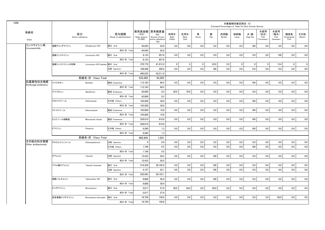|                           |              |                                |                                 |                                    |                                                                   |                       |                     |                |          |                | 対象動物別推定割合 (%) | Estimated Percentages of Sales for Each Animals Species |                                      |                                   |                           |               |
|---------------------------|--------------|--------------------------------|---------------------------------|------------------------------------|-------------------------------------------------------------------|-----------------------|---------------------|----------------|----------|----------------|---------------|---------------------------------------------------------|--------------------------------------|-----------------------------------|---------------------------|---------------|
| 系統名<br>Class              |              | 区分<br>Active substance         | 投与経路<br>Route of administration | (千円)<br>Sales amount<br>$(*1,000)$ | 販売高金額 原末換算量<br>(Kg)<br>Amount of pure<br>active substance<br>(Kg) | 肉用牛<br>Beef<br>Cattle | 乳用牛<br>Dairy<br>Cow | 馬<br>Horse     | 豚<br>Pig | 肉用鶏<br>Broiler | 採卵鶏<br>Layer  | 犬・猫<br>Dog/Cat                                          | 水産用<br>(淡水)<br>Fish<br>(Freshwater ) | 水産用<br>(海水)<br>Fish<br>(Seawater) | 観賞魚<br>Ornamental<br>Fish | その他<br>Others |
| リンコマイシン系<br>Lincosaminids | 塩酸クリンダマイシン   | Clindarnycin HCI               | 経口 Oral                         | 45.045                             | 93.8                                                              | 0.0                   | 0.0                 | 0.0            | 0.0      | 0.0            | 0.0           | 100                                                     | 0.0                                  | 0.0                               | 0.0                       | 0.0           |
|                           |              |                                | 成分·計 Total                      | 45.045                             | 93.8                                                              |                       |                     |                |          |                |               |                                                         |                                      |                                   |                           |               |
|                           | 塩酸リンコマイシン    | Lincomycin HCI                 | 経口 Oral                         | 8.123                              | 957.6                                                             | 0.0                   | 0.0                 | 0.0            | 0.0      | 0.0            | 0.0           | 0.0                                                     | 0.0                                  | 100                               | 0.0                       | 0.0           |
|                           |              |                                | 成分·計 Total                      | 8,123                              | 957.6                                                             |                       |                     |                |          |                |               |                                                         |                                      |                                   |                           |               |
|                           | 塩酸リンコマイシン水和物 | Lincomycin HCl hydrate 経口 Oral |                                 | 370.776                            | 41.912.4                                                          | $\mathbf{0}$          | $\mathbf 0$         | $\overline{0}$ | 83.8     | 2.9            | $\mathbf 0$   | $\mathbf{0}$                                            | $\mathbf 0$                          | 13.4                              | $\mathbf 0$               | $\mathbf 0$   |
|                           |              |                                | 注射 Injection                    | 109,448                            | 299.5                                                             | 0.0                   | 0.0                 | 0.0            | 100      | 0.0            | 0.0           | 0.0                                                     | 0.0                                  | 0.0                               | 0.0                       | 0.0           |
|                           |              |                                | 成分·計 Total                      | 480,225                            | 42,211.9                                                          |                       |                     |                |          |                |               |                                                         |                                      |                                   |                           |               |
|                           |              | 系統名·計 Class Total              |                                 | 533,392                            | 43,263                                                            |                       |                     |                |          |                |               |                                                         |                                      |                                   |                           |               |
| 抗真菌性抗生物質                  | ナイスタチン       | Nystatin                       | 経皮 Cutaneous                    | 112,163                            | 60.2                                                              | 0.0                   | 0.0                 | $0.0\,$        | 0.0      | 0.0            | 0.0           | 100                                                     | 0.0                                  | 0.0                               | 0.0                       | 0.0           |
| Antifungal antibiotics    |              |                                | 成分·計 Total                      | 112,163                            | 60.2                                                              |                       |                     |                |          |                |               |                                                         |                                      |                                   |                           |               |
|                           | ナナフロシン       | Nanafrocin                     | 経皮 Cutaneous                    | 42,000                             | 0.3                                                               | 30.0                  | 70.0                | 0.0            | 0.0      | 0.0            | $0.0\,$       | 0.0                                                     | 0.0                                  | 0.0                               | 0.0                       | 0.0           |
|                           |              |                                | 成分·計 Total                      | 42.000                             | 0.3                                                               |                       |                     |                |          |                |               |                                                         |                                      |                                   |                           |               |
|                           | クロトリマゾール     | Clotrimazole                   | その他 Others                      | 165,500                            | 39.0                                                              | 0.0                   | 0.0                 | 0.0            | 0.0      | 0.0            | 0.0           | 100                                                     | 0.0                                  | 0.0                               | 0.0                       | 0.0           |
|                           |              |                                | 成分·計 Total                      | 165,500                            | 39.0                                                              |                       |                     |                |          |                |               |                                                         |                                      |                                   |                           |               |
|                           | ケトコナゾール      | Ketoconazole                   | 経皮 Cutaneous                    | 105,890                            | 19.8                                                              | 0.0                   | 0.0                 | 0.0            | 0.0      | 0.0            | 0.0           | 100                                                     | 0.0                                  | 0.0                               | 0.0                       | 0.0           |
|                           |              |                                | 成分·計 Total                      | 105,890                            | 19.8                                                              |                       |                     |                |          |                |               |                                                         |                                      |                                   |                           |               |
|                           | ミコナゾール硝酸塩    | Miconazole nitrate             | 経皮 Cutaneous                    | 528,010                            | 910.9                                                             | 0.0                   | 0.0                 | 0.0            | 0.0      | 0.0            | 0.0           | 100                                                     | 0.0                                  | 0.0                               | 0.0                       | 0.0           |
|                           |              |                                | 成分·計 Total                      | 528,010                            | 910.9                                                             |                       |                     |                |          |                |               |                                                         |                                      |                                   |                           |               |
|                           | ピマリシン        | Pimaricin                      | その他 Others                      | 9,280                              | 1.3                                                               | 0.0                   | 0.0                 | $0.0\,$        | 0.0      | 0.0            | 0.0           | 100                                                     | 0.0                                  | 0.0                               | 0.0                       | 0.0           |
|                           |              |                                | 成分·計 Total                      | 9,280                              | 1.3                                                               |                       |                     |                |          |                |               |                                                         |                                      |                                   |                           |               |
|                           |              | 系統名·計 Class Total              |                                 | 962,843                            | 1,031                                                             |                       |                     |                |          |                |               |                                                         |                                      |                                   |                           |               |
| その他の抗生物質                  | クロラムフェニコール   | Chloramphenicol                | 注射 Injection                    | $\mathbf 0$                        | 0.0                                                               | 0.0                   | 0.0                 | 0.0            | 0.0      | 0.0            | 0.0           | 0.0                                                     | 0.0                                  | 0.0                               | 0.0                       | 0.0           |
| Other antibacterials      |              |                                | その他 Others                      | 1,749                              | 0.5                                                               | 0.0                   | 0.0                 | 0.0            | 0.0      | 0.0            | 0.0           | 100                                                     | 0.0                                  | 0.0                               | 0.0                       | 0.0           |
|                           |              |                                | 成分·計 Total                      | 1,749                              | 0.5                                                               |                       |                     |                |          |                |               |                                                         |                                      |                                   |                           |               |
|                           | チアムリン        | Tiamulin                       | 注射 Injection                    | 12,433                             | 58.2                                                              | 0.0                   | 0.0                 | 0.0            | 100      | 0.0            | 0.0           | 0.0                                                     | 0.0                                  | 0.0                               | 0.0                       | 0.0           |
|                           |              |                                | 成分·計 Total                      | 12,433                             | 58.2                                                              |                       |                     |                |          |                |               |                                                         |                                      |                                   |                           |               |
|                           | フマル酸チアムリン    | Tiamulin fumarate              | 経口 Oral                         | 516,326                            | 28,102.9                                                          | 0.0                   | 0.0                 | 0.0            | 100      | 0.0            | 0.0           | 0.0                                                     | 0.0                                  | 0.0                               | 0.0                       | 0.0           |
|                           |              |                                | 注射 Injection                    | 4,157                              | 22.1                                                              | 0.0                   | 0.0                 | 0.0            | 100      | 0.0            | 0.0           | 0.0                                                     | 0.0                                  | 0.0                               | 0.0                       | 0.0           |
|                           |              |                                | 成分·計 Total                      | 520,483                            | 28,125.1                                                          |                       |                     |                |          |                |               |                                                         |                                      |                                   |                           |               |
|                           | 塩酸バルネムリン     | Valnemuline HCI                | 経口 Oral                         | 9,688                              | 58.4                                                              | 0.0                   | 0.0                 | 0.0            | 100      | 0.0            | $0.0\,$       | 0.0                                                     | 0.0                                  | 0.0                               | 0.0                       | 0.0           |
|                           |              |                                | 成分·計 Total                      | 9,688                              | 58.4                                                              |                       |                     |                |          |                |               |                                                         |                                      |                                   |                           |               |
|                           | ビコザマイシン      | Bicozamycin                    | 経口 Oral                         | 5,017                              | 57.8                                                              | 30.0                  | 20.0                | 0.0            | 50.0     | 0.0            | 0.0           | 0.0                                                     | 0.0                                  | 0.0                               | 0.0                       | 0.0           |
|                           |              |                                | 成分·計 Total                      | 5,017                              | 57.8                                                              |                       |                     |                |          |                |               |                                                         |                                      |                                   |                           |               |
|                           | 安息香酸ビコザマイシン  | Bicozamycin benzoate           | 経口 Oral                         | 18,750                             | 158.8                                                             | 0.0                   | 0.0                 | 0.0            | 0.0      | 0.0            | 0.0           | 0.0                                                     | 2.0                                  | 98.0                              | 0.0                       | 0.0           |
|                           |              |                                | 成分·計 Total                      | 18,750                             | 158.8                                                             |                       |                     |                |          |                |               |                                                         |                                      |                                   |                           |               |
|                           |              |                                |                                 |                                    |                                                                   |                       |                     |                |          |                |               |                                                         |                                      |                                   |                           |               |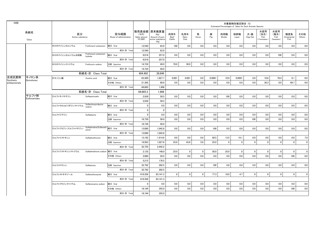| H <sub>26</sub>    |                       |                        |                                            |                                 |                                                 |                                                    |                       |                     |             |          | Estimated Percentages of Sales for Each Animals Species | 対象動物別推定割合 (%) |                |                                   |                                   |                           |               |
|--------------------|-----------------------|------------------------|--------------------------------------------|---------------------------------|-------------------------------------------------|----------------------------------------------------|-----------------------|---------------------|-------------|----------|---------------------------------------------------------|---------------|----------------|-----------------------------------|-----------------------------------|---------------------------|---------------|
|                    | 系統名<br>Class          | 区分<br>Active substance |                                            | 投与経路<br>Route of administration | 販売高金額 原末換算量<br>(千円)<br>Sales amount<br>(41,000) | (Kg)<br>Amount of pure<br>active substance<br>(Kg) | 肉用牛<br>Beef<br>Cattle | 乳用牛<br>Dairy<br>Cow | 馬<br>Horse  | 豚<br>Pig | 肉用鶏<br>Broiler                                          | 採卵鶏<br>Layer  | 犬・猫<br>Dog/Cat | 水産用<br>(淡水)<br>Fish<br>Freshwater | 水産用<br>(海水)<br>Fish<br>(Seawater) | 観賞魚<br>Ornamental<br>Fish | その他<br>Others |
|                    |                       | ホスホマイシンカルシウム           | Fosfomycin potassium                       | 経口 Oral                         | 12.540                                          | 83.9                                               | 100                   | 0.0                 | 0.0         | 0.0      | 0.0                                                     | 0.0           | 0.0            | 0.0                               | 0.0                               | 0.0                       | 0.0           |
|                    |                       |                        |                                            | 成分·計 Total                      | 12,540                                          | 83.9                                               |                       |                     |             |          |                                                         |               |                |                                   |                                   |                           |               |
|                    |                       | ホスホマイシンカルシウム水和物        | Fosfomycin potassium<br>hydrate            | 経口 Oral                         | 9.018                                           | 257.0                                              | 0.0                   | 0.0                 | 0.0         | 0.0      | 0.0                                                     | 0.0           | 0.0            | 0.0                               | 100                               | 0.0                       | 0.0           |
|                    |                       |                        |                                            | 成分·計 Total                      | 9,018                                           | 257.0                                              |                       |                     |             |          |                                                         |               |                |                                   |                                   |                           |               |
|                    |                       | ホスホマイシンナトリウム           | Fosforycin sodium                          | 注射 Injection                    | 14,724                                          | 49.0                                               | 70.0                  | 30.0                | 0.0         | 0.0      | 0.0                                                     | 0.0           | 0.0            | 0.0                               | 0.0                               | 0.0                       | 0.0           |
|                    |                       |                        |                                            | 成分·計 Total                      | 14,724                                          | 49.0                                               |                       |                     |             |          |                                                         |               |                |                                   |                                   |                           |               |
|                    |                       |                        | 系統名·計 Class Total                          |                                 | 604,402                                         | 28.849                                             |                       |                     |             |          |                                                         |               |                |                                   |                                   |                           |               |
| 合成抗菌剤<br>Synthetic | キノロン系<br>Quinolones   | オキソリン酸                 | Oxolinic acid                              | 経口 Oral                         | 63.300                                          | 1.827.7                                            | 0.001                 | 0.001               | 0.0         | 0.0001   | 10.9                                                    | 0.0001        | 0.0            | 10.6                              | 78.4                              | 0.1                       | 0.0           |
| antibacterials     |                       |                        |                                            | その他 Others                      | 21.365                                          | 80.8                                               | 0.0                   | 0.0                 | 0.0         | 0.0      | 0.0                                                     | 0.0           | 0.0            | 30.3                              | 0.0                               | 69.7                      | 0.0           |
|                    |                       |                        |                                            | 成分·計 Total                      | 84,665                                          | 1,908                                              |                       |                     |             |          |                                                         |               |                |                                   |                                   |                           |               |
|                    |                       |                        | 系統名·計 Class Total                          |                                 | 84.665.3                                        | 1.908                                              |                       |                     |             |          |                                                         |               |                |                                   |                                   |                           |               |
|                    | サルファ剤<br>Sulfonamides | スルファキノキサリン             | Sulfaquinoxalin                            | 経口 Oral                         | 2,939                                           | 58.5                                               | 0.0                   | 0.0                 | 0.0         | 0.0      | 100                                                     | 0.0           | 0.0            | 0.0                               | 0.0                               | 0.0                       | 0.0           |
|                    |                       |                        |                                            | 成分·計 Total                      | 2.939                                           | 58.5                                               |                       |                     |             |          |                                                         |               |                |                                   |                                   |                           |               |
|                    |                       | スルファクロルピリダジンナトリウム      | Sulfachlorpyridazine<br>sodium             | 経口 Oral                         | $\mathbf{0}$                                    | 0.0                                                | 0.0                   | 0.0                 | 0.0         | 0.0      | 0.0                                                     | 0.0           | 0.0            | 0.0                               | 0.0                               | 0.0                       | 0.0           |
|                    |                       |                        |                                            | 成分·計 Total                      | $\mathbf 0$                                     | $\mathbf 0$                                        |                       |                     |             |          |                                                         |               |                |                                   |                                   |                           |               |
|                    |                       | スルファジアジン               | Sulfadiazine                               | 経口 Oral                         | 0                                               | 0.0                                                | 0.0                   | 0.0                 | 0.0         | 0.0      | 0.0                                                     | 0.0           | 0.0            | 0.0                               | 0.0                               | 0.0                       | 0.0           |
|                    |                       |                        |                                            | 注射 Injection                    | 16.730                                          | 56.0                                               | 0.0                   | 0.0                 | 0.0         | 0.0      | 0.0                                                     | 0.0           | 100            | 0.0                               | 0.0                               | 0.0                       | 0.0           |
|                    |                       |                        |                                            | 成分·計 Total                      | 16,730                                          | 56.0                                               |                       |                     |             |          |                                                         |               |                |                                   |                                   |                           |               |
|                    |                       | スルファジミジン(スルファメサジン)     | Sulfadimidine(Sulfameth  経口 Oral<br>azine) |                                 | 13,090                                          | 1.042.8                                            | 0.0                   | 0.0                 | 0.0         | 100      | 0.0                                                     | 0.0           | 0.0            | 0.0                               | 0.0                               | 0.0                       | 0.0           |
|                    |                       |                        |                                            | 成分·計 Total                      | 13,090                                          | 1,042.8                                            |                       |                     |             |          |                                                         |               |                |                                   |                                   |                           |               |
|                    |                       | スルファジメトキシン             | Sulfadimethoxine                           | 経口 Oral                         | 13,192                                          | 1.414.6                                            | 0.0                   | 0.0                 | 0.0         | 60.5     | 13.5                                                    | 19.1          | 0.0            | 0.0                               | 0.0                               | 0.0                       | 7.0           |
|                    |                       |                        |                                            | 注射 Injection                    | 19,563                                          | 1,027.6                                            | 25.6                  | 43.8                | 5.6         | 25.0     | 0                                                       | 0             | $\mathbf 0$    | $\mathbf 0$                       | $\mathbf{0}$                      | $\mathbf 0$               | $\mathbf 0$   |
|                    |                       |                        |                                            | 成分·計 Total                      | 32,755                                          | 2.442.2                                            |                       |                     |             |          |                                                         |               |                |                                   |                                   |                           |               |
|                    |                       | スルファジメトキシンナトリウム        | Sulfadimethxine sodium 経口 Oral             |                                 | 2,135                                           | 148.0                                              | 25.0                  | 0                   | $\mathbf 0$ | 50.0     | 25.0                                                    | 0             | $\mathbf 0$    | $\mathbf 0$                       | $\mathbf{0}$                      | $\mathbf 0$               | $\mathbf 0$   |
|                    |                       |                        |                                            | その他 Others                      | 3,080                                           | 28.5                                               | 0.0                   | 0.0                 | 0.0         | 0.0      | 0.0                                                     | 0.0           | 0.0            | 0.0                               | 0.0                               | 100                       | 0.0           |
|                    |                       |                        |                                            | 成分·計 Total                      | 5,215                                           | 176.5                                              |                       |                     |             |          |                                                         |               |                |                                   |                                   |                           |               |
|                    |                       | スルファドキシン               | Sulfadoxine                                | 注射 Injection                    | 32,792                                          | 282.5                                              | 0.0                   | 0.0                 | 0.0         | 100      | 0.0                                                     | 0.0           | 0.0            | 0.0                               | 0.0                               | 0.0                       | 0.0           |
|                    |                       |                        |                                            | 成分·計 Total                      | 32,792                                          | 282.5                                              |                       |                     |             |          |                                                         |               |                |                                   |                                   |                           |               |
|                    |                       | スルファメトキサゾール            | Sulfamethoxazole                           | 経口 Oral                         | 419,356                                         | 63,141.3                                           | $\mathbf 0$           | $\mathbf 0$         | $\mathbf 0$ | 77.3     | 18.0                                                    | 4.7           | $\overline{0}$ | $\mathbf 0$                       | $\mathbf{0}$                      | $\mathbf 0$               | $\mathbf 0$   |
|                    |                       |                        |                                            | 成分·計 Total                      | 419,356                                         | 63,141.3                                           |                       |                     |             |          |                                                         |               |                |                                   |                                   |                           |               |
|                    |                       | スルファメラジンナトリウム          | Sulfamerazine sodium                       | 経口 Oral                         | $\mathbf 0$                                     | 0.0                                                | 0.0                   | 0.0                 | 0.0         | 0.0      | 0.0                                                     | 0.0           | 0.0            | 0.0                               | 0.0                               | 0.0                       | 0.0           |
|                    |                       |                        |                                            | その他 Others                      | 18,194                                          | 355.0                                              | 0.0                   | 0.0                 | 0.0         | 0.0      | 0.0                                                     | 0.0           | 0.0            | 0.0                               | 0.0                               | 100                       | 0.0           |
|                    |                       |                        |                                            | 成分·計 Total                      | 18.194                                          | 355.0                                              |                       |                     |             |          |                                                         |               |                |                                   |                                   |                           |               |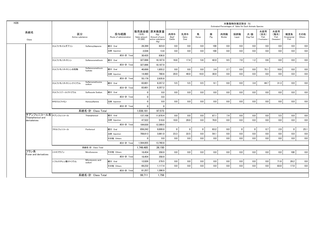| 水産用<br>販売高金額 原末換算量<br>水産用<br>系統名<br>区分<br>投与経路<br>馬<br>豚<br>肉用牛<br>乳用牛<br>採卵鶏<br>犬・猫<br>観賞魚<br>肉用鶏<br>(淡水)<br>(海水)<br>(千円)<br>(Kg)<br>Pig<br>Dog/Cat<br>Active substance<br>Route of administration<br>Beef<br>Fish<br>Fish<br>Ornamental<br>Sales amount<br>Amount of pure<br>Dairy<br>Horse<br>Broiler<br>Layer<br>(41,000)<br>(Seawater)<br>active substance<br>Cattle<br>Cow<br>Freshwater<br>Fish<br>Class<br>(Kg)<br>経口 Oral<br>823.0<br>0.0<br>0.0<br>100<br>0.0<br>0.0<br>0.0<br>0.0<br>スルファモイルダプソン<br>28.399<br>0.0<br>0.0<br>SulfamoyIdapsone<br>注射 Injection<br>0.0<br>0.0<br>100<br>0.0<br>0.0<br>0.0<br>2.036<br>13.8<br>0.0<br>0.0<br>0.0<br>成分·計 Total<br>30,435<br>836.8<br>5.6<br>7.0<br>経口 Oral<br>327,896<br>18,187.9<br>16.6<br>17.4<br>42.0<br>9.5<br>1.2<br>0.6<br>0.0<br>スルファモノメトキシン<br>Sulfamonomethoxin<br>成分·計 Total<br>327.896<br>18,187.9<br>Sulfamonomethoxin<br>経口 Oral<br>0.0<br>0.0<br>0.0<br>3.4<br>2.7<br>0.0<br>75.1<br>18.8<br>スルファモノメトキシン水和物<br>40.699<br>1,855.2<br>0.0<br>hydrate<br>20.0<br>40.0<br>10.0<br>30.0<br>0.0<br>0.0<br>0.0<br>0.0<br>0.0<br>注射 Injection<br>14.480<br>780.6<br>成分·計 Total<br>55,179<br>2,635.8<br>Sulfarnomethoxine<br>経口 Oral<br>5.5<br>5.5<br>0.5<br>9.1<br>0.0<br>0.0<br>3.4<br>44.7<br>31.3<br>スルファモノメトキシンナトリウム<br>83,601<br>8,357.2<br>sodium<br>成分·計 Total<br>83,601<br>8,357.2<br>0.0<br>0.0<br>0.0<br>0.0<br>0.0<br>0.0<br>0.0<br>0.0<br>0.0<br>0.0<br>スルフィソゾールナトリウム<br>経口 Oral<br>$\mathbf 0$<br>Sulfisozole Sodium<br>成分·計 Total<br>$\mathbf{0}$<br>0.0<br>0.0<br>注射 Injection<br>$\mathbf 0$<br>0.0<br>0.0<br>0.0<br>0.0<br>0.0<br>0.0<br>0.0<br>0.0<br>0.0<br>ホモスルファミン<br>Homosulfamine<br>成分·計 Total<br>$\mathbf{0}$<br>$\mathbf{0}$<br>系統名·計 Class Total<br>1.038.181<br>97.573<br>チアンフェニコール系 チアンフェニコール<br>0.0<br>0.0<br>87.1<br>7.4<br>0.0<br>5.5<br>経口 Oral<br>137.108<br>11.870.4<br>0.0<br>0.0<br>0.0<br>Thiamphenicol<br>Thiamphenicol and<br>20.0<br>0.0<br>0.0<br>0.0<br>47,522<br>10.0<br>70.0<br>0.0<br>0.0<br>0.0<br>注射 Injection<br>518.6<br>derivateives<br>成分·計 Total<br>184.630<br>12,389.0<br>経口 Oral<br>856,242<br>9.899.8<br>$\mathbf 0$<br>$\mathbf{0}$<br>$\mathbf 0$<br>63.2<br>8.0<br>$\mathbf 0$<br>$\mathbf 0$<br>0.7<br>2.9<br>フロルフェニコール<br>Florfenicol | その他<br>Others<br>0.0<br>0.0<br>0.0<br>0.0<br>0.0<br>0.0<br>0.0<br>0.0<br>0.0<br>0.0<br>0.0<br>0.0<br>0.0<br>0.0<br>0.0<br>0.0 |  |
|------------------------------------------------------------------------------------------------------------------------------------------------------------------------------------------------------------------------------------------------------------------------------------------------------------------------------------------------------------------------------------------------------------------------------------------------------------------------------------------------------------------------------------------------------------------------------------------------------------------------------------------------------------------------------------------------------------------------------------------------------------------------------------------------------------------------------------------------------------------------------------------------------------------------------------------------------------------------------------------------------------------------------------------------------------------------------------------------------------------------------------------------------------------------------------------------------------------------------------------------------------------------------------------------------------------------------------------------------------------------------------------------------------------------------------------------------------------------------------------------------------------------------------------------------------------------------------------------------------------------------------------------------------------------------------------------------------------------------------------------------------------------------------------------------------------------------------------------------------------------------------------------------------------------------------------------------------------------------------------------------------------------------------------------------------------------------------------------------------------------------------------------------------------------------------------------------------------------------------------------------------------|-------------------------------------------------------------------------------------------------------------------------------|--|
|                                                                                                                                                                                                                                                                                                                                                                                                                                                                                                                                                                                                                                                                                                                                                                                                                                                                                                                                                                                                                                                                                                                                                                                                                                                                                                                                                                                                                                                                                                                                                                                                                                                                                                                                                                                                                                                                                                                                                                                                                                                                                                                                                                                                                                                                  |                                                                                                                               |  |
|                                                                                                                                                                                                                                                                                                                                                                                                                                                                                                                                                                                                                                                                                                                                                                                                                                                                                                                                                                                                                                                                                                                                                                                                                                                                                                                                                                                                                                                                                                                                                                                                                                                                                                                                                                                                                                                                                                                                                                                                                                                                                                                                                                                                                                                                  |                                                                                                                               |  |
|                                                                                                                                                                                                                                                                                                                                                                                                                                                                                                                                                                                                                                                                                                                                                                                                                                                                                                                                                                                                                                                                                                                                                                                                                                                                                                                                                                                                                                                                                                                                                                                                                                                                                                                                                                                                                                                                                                                                                                                                                                                                                                                                                                                                                                                                  |                                                                                                                               |  |
|                                                                                                                                                                                                                                                                                                                                                                                                                                                                                                                                                                                                                                                                                                                                                                                                                                                                                                                                                                                                                                                                                                                                                                                                                                                                                                                                                                                                                                                                                                                                                                                                                                                                                                                                                                                                                                                                                                                                                                                                                                                                                                                                                                                                                                                                  |                                                                                                                               |  |
|                                                                                                                                                                                                                                                                                                                                                                                                                                                                                                                                                                                                                                                                                                                                                                                                                                                                                                                                                                                                                                                                                                                                                                                                                                                                                                                                                                                                                                                                                                                                                                                                                                                                                                                                                                                                                                                                                                                                                                                                                                                                                                                                                                                                                                                                  |                                                                                                                               |  |
|                                                                                                                                                                                                                                                                                                                                                                                                                                                                                                                                                                                                                                                                                                                                                                                                                                                                                                                                                                                                                                                                                                                                                                                                                                                                                                                                                                                                                                                                                                                                                                                                                                                                                                                                                                                                                                                                                                                                                                                                                                                                                                                                                                                                                                                                  |                                                                                                                               |  |
|                                                                                                                                                                                                                                                                                                                                                                                                                                                                                                                                                                                                                                                                                                                                                                                                                                                                                                                                                                                                                                                                                                                                                                                                                                                                                                                                                                                                                                                                                                                                                                                                                                                                                                                                                                                                                                                                                                                                                                                                                                                                                                                                                                                                                                                                  |                                                                                                                               |  |
|                                                                                                                                                                                                                                                                                                                                                                                                                                                                                                                                                                                                                                                                                                                                                                                                                                                                                                                                                                                                                                                                                                                                                                                                                                                                                                                                                                                                                                                                                                                                                                                                                                                                                                                                                                                                                                                                                                                                                                                                                                                                                                                                                                                                                                                                  |                                                                                                                               |  |
|                                                                                                                                                                                                                                                                                                                                                                                                                                                                                                                                                                                                                                                                                                                                                                                                                                                                                                                                                                                                                                                                                                                                                                                                                                                                                                                                                                                                                                                                                                                                                                                                                                                                                                                                                                                                                                                                                                                                                                                                                                                                                                                                                                                                                                                                  |                                                                                                                               |  |
|                                                                                                                                                                                                                                                                                                                                                                                                                                                                                                                                                                                                                                                                                                                                                                                                                                                                                                                                                                                                                                                                                                                                                                                                                                                                                                                                                                                                                                                                                                                                                                                                                                                                                                                                                                                                                                                                                                                                                                                                                                                                                                                                                                                                                                                                  |                                                                                                                               |  |
|                                                                                                                                                                                                                                                                                                                                                                                                                                                                                                                                                                                                                                                                                                                                                                                                                                                                                                                                                                                                                                                                                                                                                                                                                                                                                                                                                                                                                                                                                                                                                                                                                                                                                                                                                                                                                                                                                                                                                                                                                                                                                                                                                                                                                                                                  |                                                                                                                               |  |
|                                                                                                                                                                                                                                                                                                                                                                                                                                                                                                                                                                                                                                                                                                                                                                                                                                                                                                                                                                                                                                                                                                                                                                                                                                                                                                                                                                                                                                                                                                                                                                                                                                                                                                                                                                                                                                                                                                                                                                                                                                                                                                                                                                                                                                                                  |                                                                                                                               |  |
|                                                                                                                                                                                                                                                                                                                                                                                                                                                                                                                                                                                                                                                                                                                                                                                                                                                                                                                                                                                                                                                                                                                                                                                                                                                                                                                                                                                                                                                                                                                                                                                                                                                                                                                                                                                                                                                                                                                                                                                                                                                                                                                                                                                                                                                                  |                                                                                                                               |  |
|                                                                                                                                                                                                                                                                                                                                                                                                                                                                                                                                                                                                                                                                                                                                                                                                                                                                                                                                                                                                                                                                                                                                                                                                                                                                                                                                                                                                                                                                                                                                                                                                                                                                                                                                                                                                                                                                                                                                                                                                                                                                                                                                                                                                                                                                  |                                                                                                                               |  |
|                                                                                                                                                                                                                                                                                                                                                                                                                                                                                                                                                                                                                                                                                                                                                                                                                                                                                                                                                                                                                                                                                                                                                                                                                                                                                                                                                                                                                                                                                                                                                                                                                                                                                                                                                                                                                                                                                                                                                                                                                                                                                                                                                                                                                                                                  |                                                                                                                               |  |
|                                                                                                                                                                                                                                                                                                                                                                                                                                                                                                                                                                                                                                                                                                                                                                                                                                                                                                                                                                                                                                                                                                                                                                                                                                                                                                                                                                                                                                                                                                                                                                                                                                                                                                                                                                                                                                                                                                                                                                                                                                                                                                                                                                                                                                                                  |                                                                                                                               |  |
|                                                                                                                                                                                                                                                                                                                                                                                                                                                                                                                                                                                                                                                                                                                                                                                                                                                                                                                                                                                                                                                                                                                                                                                                                                                                                                                                                                                                                                                                                                                                                                                                                                                                                                                                                                                                                                                                                                                                                                                                                                                                                                                                                                                                                                                                  | 0.0<br>0.0                                                                                                                    |  |
|                                                                                                                                                                                                                                                                                                                                                                                                                                                                                                                                                                                                                                                                                                                                                                                                                                                                                                                                                                                                                                                                                                                                                                                                                                                                                                                                                                                                                                                                                                                                                                                                                                                                                                                                                                                                                                                                                                                                                                                                                                                                                                                                                                                                                                                                  | 0.0<br>0.0                                                                                                                    |  |
|                                                                                                                                                                                                                                                                                                                                                                                                                                                                                                                                                                                                                                                                                                                                                                                                                                                                                                                                                                                                                                                                                                                                                                                                                                                                                                                                                                                                                                                                                                                                                                                                                                                                                                                                                                                                                                                                                                                                                                                                                                                                                                                                                                                                                                                                  |                                                                                                                               |  |
|                                                                                                                                                                                                                                                                                                                                                                                                                                                                                                                                                                                                                                                                                                                                                                                                                                                                                                                                                                                                                                                                                                                                                                                                                                                                                                                                                                                                                                                                                                                                                                                                                                                                                                                                                                                                                                                                                                                                                                                                                                                                                                                                                                                                                                                                  | $\mathbf 0$<br>25.1                                                                                                           |  |
| 23.3<br>22.5<br>54.1<br>0.0<br>0.0<br>注射 Injection<br>708,613<br>3,861.0<br>0.0<br>0.0<br>0.0<br>0.0                                                                                                                                                                                                                                                                                                                                                                                                                                                                                                                                                                                                                                                                                                                                                                                                                                                                                                                                                                                                                                                                                                                                                                                                                                                                                                                                                                                                                                                                                                                                                                                                                                                                                                                                                                                                                                                                                                                                                                                                                                                                                                                                                             | 0.0<br>0.0                                                                                                                    |  |
| 0.0<br>0.0<br>0.0<br>0.0<br>0.0<br>0.0<br>その他 Others<br>$\mathbf{0}$<br>0.0<br>0.0<br>0.0<br>0.0                                                                                                                                                                                                                                                                                                                                                                                                                                                                                                                                                                                                                                                                                                                                                                                                                                                                                                                                                                                                                                                                                                                                                                                                                                                                                                                                                                                                                                                                                                                                                                                                                                                                                                                                                                                                                                                                                                                                                                                                                                                                                                                                                                 | 0.0<br>0.0                                                                                                                    |  |
| 成分·計 Total<br>1,564,855<br>13,760.8                                                                                                                                                                                                                                                                                                                                                                                                                                                                                                                                                                                                                                                                                                                                                                                                                                                                                                                                                                                                                                                                                                                                                                                                                                                                                                                                                                                                                                                                                                                                                                                                                                                                                                                                                                                                                                                                                                                                                                                                                                                                                                                                                                                                                              |                                                                                                                               |  |
| 系統名·計 Class Total<br>1,749,485<br>26.150                                                                                                                                                                                                                                                                                                                                                                                                                                                                                                                                                                                                                                                                                                                                                                                                                                                                                                                                                                                                                                                                                                                                                                                                                                                                                                                                                                                                                                                                                                                                                                                                                                                                                                                                                                                                                                                                                                                                                                                                                                                                                                                                                                                                                         |                                                                                                                               |  |
| フラン系<br>0.0<br>0.0<br>0.0<br>0.0<br>$0.0\,$<br>0.0<br>0.0<br>0.0<br>ニトロフラゾン<br>その他 Others<br>0.0<br>18.454<br>358.9<br>Nitrofurazone<br>Furan and derivatives                                                                                                                                                                                                                                                                                                                                                                                                                                                                                                                                                                                                                                                                                                                                                                                                                                                                                                                                                                                                                                                                                                                                                                                                                                                                                                                                                                                                                                                                                                                                                                                                                                                                                                                                                                                                                                                                                                                                                                                                                                                                                                    | 100<br>0.0                                                                                                                    |  |
| 成分·計 Total<br>18.454<br>358.9                                                                                                                                                                                                                                                                                                                                                                                                                                                                                                                                                                                                                                                                                                                                                                                                                                                                                                                                                                                                                                                                                                                                                                                                                                                                                                                                                                                                                                                                                                                                                                                                                                                                                                                                                                                                                                                                                                                                                                                                                                                                                                                                                                                                                                    |                                                                                                                               |  |
| Nifurstyrenic acid<br>経口 Oral<br>12,026<br>279.5<br>0.0<br>0.0<br>0.0<br>0.0<br>0.0<br>0.0<br>0.0<br>71.8<br>ニフルスチレン酸ナトリウム<br>0.0<br>sodium                                                                                                                                                                                                                                                                                                                                                                                                                                                                                                                                                                                                                                                                                                                                                                                                                                                                                                                                                                                                                                                                                                                                                                                                                                                                                                                                                                                                                                                                                                                                                                                                                                                                                                                                                                                                                                                                                                                                                                                                                                                                                                                      | 28.2<br>0.0                                                                                                                   |  |
| 0.0<br>0.0<br>69,232<br>0.0<br>0.0<br>0.0<br>0.0<br>0.0<br>0.0<br>83.0<br>その他 Others<br>1,117.4                                                                                                                                                                                                                                                                                                                                                                                                                                                                                                                                                                                                                                                                                                                                                                                                                                                                                                                                                                                                                                                                                                                                                                                                                                                                                                                                                                                                                                                                                                                                                                                                                                                                                                                                                                                                                                                                                                                                                                                                                                                                                                                                                                  | 17.0<br>0.0                                                                                                                   |  |
| 成分·計 Total<br>81.257<br>1.396.9                                                                                                                                                                                                                                                                                                                                                                                                                                                                                                                                                                                                                                                                                                                                                                                                                                                                                                                                                                                                                                                                                                                                                                                                                                                                                                                                                                                                                                                                                                                                                                                                                                                                                                                                                                                                                                                                                                                                                                                                                                                                                                                                                                                                                                  |                                                                                                                               |  |
| 系統名·計 Class Total<br>99.711<br>1.756                                                                                                                                                                                                                                                                                                                                                                                                                                                                                                                                                                                                                                                                                                                                                                                                                                                                                                                                                                                                                                                                                                                                                                                                                                                                                                                                                                                                                                                                                                                                                                                                                                                                                                                                                                                                                                                                                                                                                                                                                                                                                                                                                                                                                             |                                                                                                                               |  |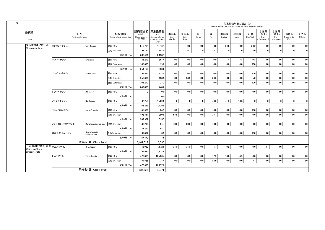| H <sub>26</sub> |                                   |                         |                               |                                 |                                    |                                                                   |                       |                     |             |          | Estimated Percentages of Sales for Each Animals Species | 対象動物別推定割合 (%) |                |                                   |                                   |                           |               |
|-----------------|-----------------------------------|-------------------------|-------------------------------|---------------------------------|------------------------------------|-------------------------------------------------------------------|-----------------------|---------------------|-------------|----------|---------------------------------------------------------|---------------|----------------|-----------------------------------|-----------------------------------|---------------------------|---------------|
|                 | 系統名<br>Class                      |                         | 区分<br>Active substance        | 投与経路<br>Route of administration | (千円)<br>Sales amount<br>$(*1.000)$ | 販売高金額 原末換算量<br>(Kg)<br>Amount of pure<br>active substance<br>(Kg) | 肉用牛<br>Beef<br>Cattle | 乳用牛<br>Dairy<br>Cow | 馬<br>Horse  | 豚<br>Pig | 肉用鶏<br>Broiler                                          | 採卵鶏<br>Layer  | 犬・猫<br>Dog/Cat | 水産用<br>(淡水)<br>Fish<br>Freshwater | 水産用<br>(海水)<br>Fish<br>(Seawater) | 観賞魚<br>Ornamental<br>Fish | その他<br>Others |
|                 | フルオロキノロン系                         | エンロフロキサシン               | Enrofloxacin                  | 経口 Oral                         | 810,704                            | 1,346.1                                                           | 1.4                   | 0.6                 | 0.0         | 0.0      | 64.9                                                    | 0.0           | 33.2           | 0.0                               | 0.0                               | 0.0                       | 0.0           |
|                 | Fluoroquinolones                  |                         |                               | 注射 Injection                    | 797,777                            | 852.0                                                             | 27.7                  | 36.2                | $\mathbf 0$ | 28.1     | 0                                                       | $\mathbf 0$   | 8.0            | $\mathbf 0$                       | $\mathbf 0$                       | $\mathbf 0$               | $\mathbf 0$   |
|                 |                                   |                         |                               | 成分·計 Total                      | 1,608,481                          | 2,198.1                                                           |                       |                     |             |          |                                                         |               |                |                                   |                                   |                           |               |
|                 |                                   | オフロキサシン                 | Ofloxacin                     | 経口 Oral                         | 148,213                            | 568.4                                                             | 0.0                   | 0.0                 | 0.0         | 0.0      | 71.4                                                    | 17.8          | 10.8           | 0.0                               | 0.0                               | 0.0                       | 0.0           |
|                 |                                   |                         |                               | 経皮 Cutaneous                    | 105,890                            | 19.8                                                              | 0.0                   | 0.0                 | 0.0         | 0.0      | 0.0                                                     | 0.0           | 100            | 0.0                               | 0.0                               | 0.0                       | 0.0           |
|                 |                                   |                         |                               | 成分·計 Total                      | 254,103                            | 588.2                                                             |                       |                     |             |          |                                                         |               |                |                                   |                                   |                           |               |
|                 |                                   | オルビフロキサシン               | Orbifloxacin                  | 経口 Oral                         | 296,562                            | 228.5                                                             | 0.0                   | 0.0                 | 0.0         | 0.0      | 0.0                                                     | 0.0           | 100            | 0.0                               | 0.0                               | 0.0                       | 0.0           |
|                 |                                   |                         |                               | 注射 Injection                    | 250,316                            | 488.9                                                             | 0.0                   | 28.5                | 0.0         | 66.5     | 0.0                                                     | 0.0           | 5.0            | 0.0                               | 0.0                               | 0.0                       | 0.0           |
|                 |                                   |                         |                               | 経皮 Cutaneous                    | 302.210                            | 23.2                                                              | 0.0                   | 0.0                 | 0.0         | 0.0      | 0.0                                                     | 0.0           | 100            | 0.0                               | 0.0                               | 0.0                       | 0.0           |
|                 |                                   |                         |                               | 成分·計 Total                      | 849,088                            | 740.6                                                             |                       |                     |             |          |                                                         |               |                |                                   |                                   |                           |               |
|                 |                                   | ジフロキサシン                 | Difloxacin                    | 経口 Oral                         | 0                                  | 0.0                                                               | 0.0                   | 0.0                 | 0.0         | 0.0      | 0.0                                                     | 0.0           | 0.0            | 0.0                               | 0.0                               | 0.0                       | 0.0           |
|                 |                                   |                         | 成分·計 Total                    | $\mathbf{0}$                    | 0.0                                |                                                                   |                       |                     |             |          |                                                         |               |                |                                   |                                   |                           |               |
|                 |                                   | ノルフロキサシン<br>Norfloxacin |                               | 経口 Oral                         | 62,259                             | 1,729.8                                                           | $\mathbf 0$           | $\mathbf{0}$        | $\mathbf 0$ | 48.5     | 41.2                                                    | 10.3          | $\overline{0}$ | $\mathbf 0$                       | $\overline{0}$                    | $\mathbf 0$               | $\mathbf 0$   |
|                 |                                   |                         |                               | 成分·計 Total                      | 62,259                             | 1,729.8                                                           |                       |                     |             |          |                                                         |               |                |                                   |                                   |                           |               |
|                 |                                   | マルボフロキサシン               | Marbofloxacin                 | 経口 Oral                         | 45.581                             | 24.9                                                              | 0.0                   | 0.0                 | 0.0         | 0.0      | 0.0                                                     | 0.0           | 100            | 0.0                               | 0.0                               | 0.0                       | 0.0           |
|                 |                                   |                         |                               | 注射 Injection                    | 492,341                            | 290.8                                                             | 63.9                  | 0.0                 | 0.0         | 36.1     | 0.0                                                     | 0.0           | 0.0            | 0.0                               | 0.0                               | 0.0                       | 0.0           |
|                 |                                   |                         |                               | 成分·計 Total                      | 537,922                            | 315.7                                                             |                       |                     |             |          |                                                         |               |                |                                   |                                   |                           |               |
|                 |                                   | メシル酸ダノフロキサシン            | Danofloxacin mesilate         | 注射 Injection                    | 87.293                             | 54.7                                                              | 40.0                  | 20.0                | 0.0         | 40.0     | 0.0                                                     | 0.0           | 0.0            | 0.0                               | 0.0                               | 0.0                       | 0.0           |
|                 |                                   |                         |                               | 成分·計 Total                      | 87.293                             | 54.7                                                              |                       |                     |             |          |                                                         |               |                |                                   |                                   |                           |               |
|                 |                                   | 塩酸ロメフロキサシン              | Lomefloxacin<br>hydrochloride | その他 Others                      | 67,872                             | 3.5                                                               | 0.0                   | 0.0                 | 0.0         | 0.0      | 0.0                                                     | 0.0           | 100            | 0.0                               | 0.0                               | 0.0                       | 0.0           |
|                 |                                   |                         |                               | 成分·計 Total                      | 67.872                             | 3.5                                                               |                       |                     |             |          |                                                         |               |                |                                   |                                   |                           |               |
|                 |                                   |                         | 系統名·計 Class Total             |                                 | 3,467,017                          | 5.630                                                             |                       |                     |             |          |                                                         |               |                |                                   |                                   |                           |               |
|                 | その他の合成抗菌剤オルメトプリム                  |                         | Ormetoprim                    | 経口 Oral                         | 155,933                            | 1,172.9                                                           | 35.0                  | 35.0                | 0.0         | 16.7     | 10.2                                                    | 0.0           | 0.0            | 3.1                               | 0.0                               | 0.0                       | 0.0           |
|                 | Other synthetic<br>antibacterials |                         |                               | 成分·計 Total                      | 155.933                            | 1.172.9                                                           |                       |                     |             |          |                                                         |               |                |                                   |                                   |                           |               |
|                 |                                   | トリメトプリム                 | Trimethoprim                  | 経口 Oral                         | 426.873                            | 12,723.4                                                          | 0.0                   | 0.0                 | 0.0         | 77.2     | 18.0                                                    | 4.9           | 0.0            | 0.0                               | 0.0                               | 0.0                       | 0.0           |
|                 |                                   |                         |                               | 注射 Injection                    | 51,525                             | 74.4                                                              | 0.0                   | 0.0                 | 0.0         | 84.9     | 0.0                                                     | 0.0           | 15.1           | 0.0                               | 0.0                               | 0.0                       | 0.0           |
|                 |                                   |                         |                               | 成分·計 Total                      | 478,398                            | 12,797.8                                                          |                       |                     |             |          |                                                         |               |                |                                   |                                   |                           |               |
|                 |                                   |                         | 系統名·計 Class Total             |                                 | 634.331                            | 13.971                                                            |                       |                     |             |          |                                                         |               |                |                                   |                                   |                           |               |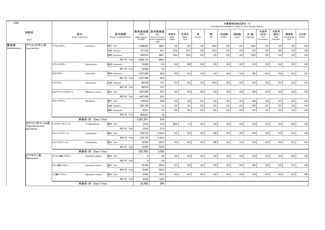|                                 |             |                        |                                 |                                    |                                                                   |                       |                     |            |          |                | 対象動物別推定割合(%) | Estimated Percentages of Sales for Each Animals Species |                                   |                                   |                           |               |
|---------------------------------|-------------|------------------------|---------------------------------|------------------------------------|-------------------------------------------------------------------|-----------------------|---------------------|------------|----------|----------------|--------------|---------------------------------------------------------|-----------------------------------|-----------------------------------|---------------------------|---------------|
| 系統名<br>Class                    |             | 区分<br>Active substance | 投与経路<br>Route of administration | (千円)<br>Sales amount<br>$(*1,000)$ | 販売高金額 原末換算量<br>(Kg)<br>Amount of pure<br>active substance<br>(Kg) | 肉用牛<br>Beef<br>Cattle | 乳用牛<br>Dairy<br>Cow | 馬<br>Horse | 豚<br>Pig | 肉用鶏<br>Broiler | 採卵鶏<br>Layer | 犬・猫<br>Dog/Cat                                          | 水産用<br>(淡水)<br>Fish<br>Freshwater | 水産用<br>(海水)<br>Fish<br>(Seawater) | 観賞魚<br>Ornamental<br>Fish | その他<br>Others |
| アベルメクチン系                        | イベルメクチン     | Ivermectin             | 経口 Oral                         | 1.499.997                          | 348.1                                                             | 0.0                   | 0.0                 | 4.0        | 48.0     | 0.0            | 0.0          | 48.0                                                    | 0.0                               | 0.0                               | 0.0                       | 0.0           |
| Avermectins                     |             |                        | 注射 Injection                    | 161,220                            | 44.1                                                              | 23.2                  | 23.5                | 0.0        | 53.3     | 0.0            | 0.0          | 0.0                                                     | 0.0                               | 0.0                               | 0.0                       | 0.0           |
|                                 |             |                        | 経皮 Cutaneous                    | 544,916                            | 288.1                                                             | 64.4                  | 35.6                | 0.0        | 0.0      | 0.0            | 0.0          | 0.03                                                    | 0.0                               | 0.0                               | 0.0                       | 0.0           |
|                                 |             |                        | 成分·計 Total                      | 2.206.133                          | 680.2                                                             |                       |                     |            |          |                |              |                                                         |                                   |                                   |                           |               |
|                                 | エプリノメクチン    | Eprinomectin           | 経皮 Cutaneous                    | 15,898                             | 4.9                                                               | 0.0                   | 100                 | 0.0        | 0.0      | 0.0            | 0.0          | 0.0                                                     | 0.0                               | 0.0                               | 0.0                       | 0.0           |
|                                 |             |                        | 成分·計 Total                      | 15,898                             | 4.9                                                               |                       |                     |            |          |                |              |                                                         |                                   |                                   |                           |               |
|                                 | セラメクチン      | Selamectin             | 経皮 Cutaneous                    | 1,037,450                          | 85.8                                                              | 0.0                   | 0.0                 | 0.0        | 0.0      | 0.0            | 0.0          | 100                                                     | 0.0                               | 0.0                               | 0.0                       | 0.0           |
|                                 |             |                        | 成分·計 Total                      | 1,037,450                          | 85.8                                                              |                       |                     |            |          |                |              |                                                         |                                   |                                   |                           |               |
|                                 | ドラメクチン      | Doramectin             | 注射 Injection                    | 80.676                             | 10.7                                                              | 5.0                   | 0.0                 | 0.0        | 95.0     | 0.0            | 0.0          | 0.0                                                     | 0.0                               | 0.0                               | 0.0                       | 0.0           |
|                                 |             |                        | 成分·計 Total                      | 80,676                             | 10.7                                                              |                       |                     |            |          |                |              |                                                         |                                   |                                   |                           |               |
|                                 | ミルベマイシンオキシム | Miblemycin oxime       | 経口 Oral                         | 1,467,296                          | 30.2                                                              | 0.0                   | 0.0                 | 0.0        | 0.0      | 0.0            | 0.0          | 100                                                     | 0.0                               | 0.0                               | 0.0                       | 0.0           |
|                                 |             |                        | 成分·計 Total                      | 1,467,296                          | 30.2                                                              |                       |                     |            |          |                |              |                                                         |                                   |                                   |                           |               |
|                                 | モキシデクチン     | Moxidectin             | 経口 Oral                         | 170,678                            | 0.04                                                              | 0.0                   | 0.0                 | 0.0        | 0.0      | 0.0            | 0.0          | 100                                                     | 0.0                               | 0.0                               | 0.0                       | 0.0           |
|                                 |             |                        | 注射 Injection                    | 282.198                            | 1.0                                                               | 0.0                   | 0.0                 | 0.0        | 0.0      | 0.0            | 0.0          | 100                                                     | 0.0                               | 0.0                               | 0.0                       | 0.0           |
|                                 |             |                        | 経皮 Cutaneous                    | 6,951                              | 2.8                                                               | 100                   | 0.0                 | 0.0        | 0.0      | 0.0            | 0.0          | 0.0                                                     | 0.0                               | 0.0                               | 0.0                       | 0.0           |
|                                 |             |                        | 成分·計 Total                      | 459,827                            | 3.8                                                               |                       |                     |            |          |                |              |                                                         |                                   |                                   |                           |               |
|                                 |             | 系統名·計 Class Total      |                                 | 5.267.281                          | 816                                                               |                       |                     |            |          |                |              |                                                         |                                   |                                   |                           |               |
| チアベンダゾール系                       | トリクラベンダゾール  | Triclabendazole        | 経口 Oral                         | 2.618                              | 57.8                                                              | 99.0                  | 1.0                 | 0.0        | 0.0      | 0.0            | 0.0          | 0.0                                                     | 0.0                               | 0.0                               | 0.0                       | 0.0           |
| Tiabendazole and<br>derivatives |             |                        | 成分·計 Total                      | 2,618                              | 57.8                                                              |                       |                     |            |          |                |              |                                                         |                                   |                                   |                           |               |
|                                 | フェンベンダゾール   | Fenbendazol            | 経口 Oral                         | 232,755                            | 3,103.4                                                           | 0.0                   | 0.0                 | 0.0        | 100      | 0.0            | 0.0          | 0.0                                                     | 0.0                               | 0.0                               | 0.0                       | 0.0           |
|                                 |             |                        | 成分·計 Total                      | 232.755                            | 3,103.4                                                           |                       |                     |            |          |                |              |                                                         |                                   |                                   |                           |               |
|                                 | フルベンダゾール    | Flubendazole           | 経口 Oral                         | 16.929                             | 223.9                                                             | 0.0                   | 0.0                 | 0.0        | 100      | 0.0            | 0.0          | 0.0                                                     | 0.0                               | 0.0                               | 0.0                       | 0.0           |
|                                 |             |                        | 成分·計 Total                      | 16,929                             | 223.9                                                             |                       |                     |            |          |                |              |                                                         |                                   |                                   |                           |               |
|                                 |             | 系統名·計 Class Total      |                                 | 252,302                            | 3,385                                                             |                       |                     |            |          |                |              |                                                         |                                   |                                   |                           |               |
| ピペラジン系<br>Piperazines           | アジピン酸ピペラジン  | Piperazine adipate     | 経口 Oral                         | 0                                  | 0.0                                                               | 0.0                   | 0.0                 | 0.0        | 0.0      | 0.0            | 0.0          | 0.0                                                     | 0.0                               | 0.0                               | 0.0                       | 0.0           |
|                                 |             |                        | 成分·計 Total                      | $\mathbf{0}$                       | 0.0                                                               |                       |                     |            |          |                |              |                                                         |                                   |                                   |                           |               |
|                                 | クエン酸ピペラジン   | Piperazine citrate     | 経口 Oral                         | 19,445                             | 285.6                                                             | 0.0                   | 0.0                 | 0.0        | 0.0      | 0.0            | 0.0          | 100                                                     | 0.0                               | 0.0                               | 0.0                       | 0.0           |
|                                 |             |                        | 成分·計 Total                      | 19,445                             | 285.6                                                             |                       |                     |            |          |                |              |                                                         |                                   |                                   |                           |               |
|                                 | リン酸ピペラジン    | Piperazine sulfate     | 経口 Oral                         | 4,043                              | 104.0                                                             | 0.0                   | 0.0                 | 0.0        | 0.0      | 0.0            | 0.0          | 0.0                                                     | 0.0                               | 0.0                               | 0.0                       | 100           |
|                                 |             |                        | 成分·計 Total                      | 4.043                              | 104.0                                                             |                       |                     |            |          |                |              |                                                         |                                   |                                   |                           |               |
|                                 |             | 系統名·計 Class Total      |                                 | 23.488                             | 390                                                               |                       |                     |            |          |                |              |                                                         |                                   |                                   |                           |               |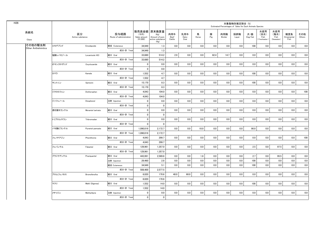| H <sub>26</sub>            |          |                        |                                 |                                    |                                                                   |                       |                     |            |          |                | 対象動物別推定割合 (%) | Estimated Percentages of Sales for Each Animals Species |                                    |                                   |                           |               |
|----------------------------|----------|------------------------|---------------------------------|------------------------------------|-------------------------------------------------------------------|-----------------------|---------------------|------------|----------|----------------|---------------|---------------------------------------------------------|------------------------------------|-----------------------------------|---------------------------|---------------|
| 系統名<br>Class               |          | 区分<br>Active substance | 投与経路<br>Route of administration | (千円)<br>Sales amount<br>$(*1,000)$ | 販売高金額 原末換算量<br>(Kg)<br>Amount of pure<br>active substance<br>(Kg) | 肉用牛<br>Beef<br>Cattle | 乳用牛<br>Dairy<br>Cow | 馬<br>Horse | 豚<br>Pig | 肉用鶏<br>Broiler | 採卵鶏<br>Layer  | 犬・猫<br>Dog/Cat                                          | 水産用<br>(淡水)<br>Fish<br>Freshwater) | 水産用<br>(海水)<br>Fish<br>(Seawater) | 観賞魚<br>Ornamental<br>Fish | その他<br>Others |
| その他の駆虫剤                    | エモデプシド   | Emodepside             | 経皮 Cutaneous                    | 34,949                             | 1.3                                                               | 0.0                   | 0.0                 | 0.0        | 0.0      | 0.0            | 0.0           | 100                                                     | 0.0                                | 0.0                               | 0.0                       | 0.0           |
| <b>Other Anthelmintics</b> |          |                        | 成分·計 Total                      | 34.949                             | 1.3                                                               |                       |                     |            |          |                |               |                                                         |                                    |                                   |                           |               |
|                            | 塩酸レバミゾール | Levamisole HCI         | 経口 Oral                         | 33,680                             | 514.2                                                             | 2.9                   | 0.0                 | 0.0        | 82.4     | 14.7           | 0.0           | 0.0                                                     | 0.0                                | 0.0                               | 0.0                       | 0.0           |
|                            |          |                        | 成分·計 Total                      | 33,680                             | 514.2                                                             |                       |                     |            |          |                |               |                                                         |                                    |                                   |                           |               |
|                            | オキシクロザニド | Oxyclozanide           | 経口 Oral                         | $\mathbf 0$                        | 0.0                                                               | 0.0                   | 0.0                 | 0.0        | 0.0      | 0.0            | 0.0           | 0.0                                                     | 0.0                                | 0.0                               | 0.0                       | 0.0           |
|                            |          |                        | 成分·計 Total                      | $\mathbf{0}$                       | 0.0                                                               |                       |                     |            |          |                |               |                                                         |                                    |                                   |                           |               |
|                            | カマラ      | Kamala                 | 経口 Oral                         | 1,552                              | 4.7                                                               | 0.0                   | 0.0                 | 0.0        | 0.0      | 0.0            | 0.0           | 100                                                     | 0.0                                | 0.0                               | 0.0                       | 0.0           |
|                            |          |                        | 成分·計 Total                      | 1,552                              | 4.7                                                               |                       |                     |            |          |                |               |                                                         |                                    |                                   |                           |               |
|                            | サントニン    | Santonin               | 経口 Oral                         | 15,170                             | 8.3                                                               | 0.0                   | 0.0                 | 0.0        | 0.0      | 0.0            | 0.0           | 100                                                     | 0.0                                | 0.0                               | 0.0                       | 0.0           |
|                            |          |                        | 成分·計 Total                      | 15,170                             | 8.3                                                               |                       |                     |            |          |                |               |                                                         |                                    |                                   |                           |               |
|                            | ジクロロフェン  | Dichlorophen           | 経口 Oral                         | 4.043                              | 104.0                                                             | 0.0                   | 0.0                 | 0.0        | 0.0      | 0.0            | $0.0\,$       | 0.0                                                     | 0.0                                | 0.0                               | 0.0                       | 100           |
|                            |          |                        | 成分·計 Total                      | 4,043                              | 104.0                                                             |                       |                     |            |          |                |               |                                                         |                                    |                                   |                           |               |
|                            | ジソフェノール  | Disophenol             | 注射 Injection                    | 0                                  | 0.0                                                               | 0.0                   | 0.0                 | 0.0        | 0.0      | 0.0            | $0.0\,$       | 0.0                                                     | 0.0                                | 0.0                               | 0.0                       | 0.0           |
|                            |          |                        | 成分·計 Total                      | $\mathbf 0$                        | $\mathbf{0}$                                                      |                       |                     |            |          |                |               |                                                         |                                    |                                   |                           |               |
|                            | 酒石酸モランテル | Morantel tartrate      | 経口 Oral                         | $\mathbf 0$                        | 0.0                                                               | 0.0                   | 0.0                 | 0.0        | 0.0      | 0.0            | 0.0           | 0.0                                                     | 0.0                                | 0.0                               | 0.0                       | 0.0           |
|                            |          |                        | 成分·計 Total                      | $\mathbf 0$                        | $\mathbf 0$                                                       |                       |                     |            |          |                |               |                                                         |                                    |                                   |                           |               |
|                            | トリブロムサラン | Tribromsalan           | 経口 Oral                         | $\mathbf 0$                        | 0.0                                                               | 0.0                   | 0.0                 | 0.0        | 0.0      | 0.0            | $0.0\,$       | 0.0                                                     | 0.0                                | 0.0                               | 0.0                       | 0.0           |
|                            |          |                        | 成分·計 Total                      | $\mathbf 0$                        | $\mathbf 0$                                                       |                       |                     |            |          |                |               |                                                         |                                    |                                   |                           |               |
|                            | パモ酸ピランテル | Pyrantel pamoate       | 経口 Oral                         | 1,090,019                          | 2,172.7                                                           | 0.0                   | 0.0                 | 10.0       | 0.0      | 0.0            | $0.0\,$       | 90.0                                                    | 0.0                                | $0.0\,$                           | 0.0                       | 0.0           |
|                            |          |                        | 成分·計 Total                      | 1,090,019                          | 2,172.7                                                           |                       |                     |            |          |                |               |                                                         |                                    |                                   |                           |               |
|                            | フェノチアジン  | Phenithizine           | 経口 Oral                         | 4.043                              | 299.7                                                             | 0.0                   | 0.0                 | 0.0        | 0.0      | 0.0            | 0.0           | 0.0                                                     | 0.0                                | 0.0                               | 0.0                       | 100           |
|                            |          |                        | 成分·計 Total                      | 4,043                              | 299.7                                                             |                       |                     |            |          |                |               |                                                         |                                    |                                   |                           |               |
|                            | フェバンテル   | Febantel               | 経口 Oral                         | 129,961                            | 1,357.0                                                           | 0.0                   | 0.0                 | 0.0        | 0.0      | 0.0            | 0.0           | 2.5                                                     | 0.0                                | 97.5                              | 0.0                       | 0.0           |
|                            |          |                        | 成分·計 Total                      | 129,961                            | 1,357.0                                                           |                       |                     |            |          |                |               |                                                         |                                    |                                   |                           |               |
|                            | プラジクアンテル | Praziquantel           | 経口 Oral                         | 443,991                            | 2,569.6                                                           | 0.0                   | 0.0                 | 1.8        | 0.0      | 0.0            | 0.0           | 2.7                                                     | 0.0                                | 95.5                              | 0.0                       | 0.0           |
|                            |          |                        | 注射 Injection                    | 29.460                             | 2.8                                                               | 0.0                   | 0.0                 | 0.0        | 0.0      | 0.0            | 0.0           | 100                                                     | 0.0                                | 0.0                               | 0.0                       | 0.0           |
|                            |          |                        | 経皮 Cutaneous                    | 34,949                             | 5.1                                                               | 0.0                   | 0.0                 | 0.0        | 0.0      | 0.0            | 0.0           | 100                                                     | 0.0                                | 0.0                               | 0.0                       | 0.0           |
|                            |          |                        | 成分·計 Total                      | 508,400                            | 2,577.5                                                           |                       |                     |            |          |                |               |                                                         |                                    |                                   |                           |               |
|                            | ブロムフェノホス | <b>Bromofenofos</b>    | 経口 Oral                         | 6,020                              | 170.6                                                             | 40.0                  | 60.0                | 0.0        | 0.0      | 0.0            | 0.0           | 0.0                                                     | 0.0                                | 0.0                               | 0.0                       | 0.0           |
|                            |          |                        | 成分·計 Total                      | 6,020                              | 170.6                                                             |                       |                     |            |          |                |               |                                                         |                                    |                                   |                           |               |
|                            | マクリ      | Makli (Digenea)        | 経口 Oral                         | 1,552                              | 14.0                                                              | 0.0                   | 0.0                 | 0.0        | 0.0      | 0.0            | 0.0           | 100                                                     | 0.0                                | 0.0                               | 0.0                       | 0.0           |
|                            |          |                        | 成分·計 Total                      | 1,552                              | 14.0                                                              |                       |                     |            |          |                |               |                                                         |                                    |                                   |                           |               |
|                            | メチリジン    | Methylidyne            | 注射 Injection                    | $\mathbf 0$                        | 0.0                                                               | 0.0                   | 0.0                 | 0.0        | 0.0      | 0.0            | 0.0           | 0.0                                                     | 0.0                                | 0.0                               | 0.0                       | 0.0           |
|                            |          |                        | 成分·計 Total                      | $\mathbf 0$                        | $\mathbf 0$                                                       |                       |                     |            |          |                |               |                                                         |                                    |                                   |                           |               |